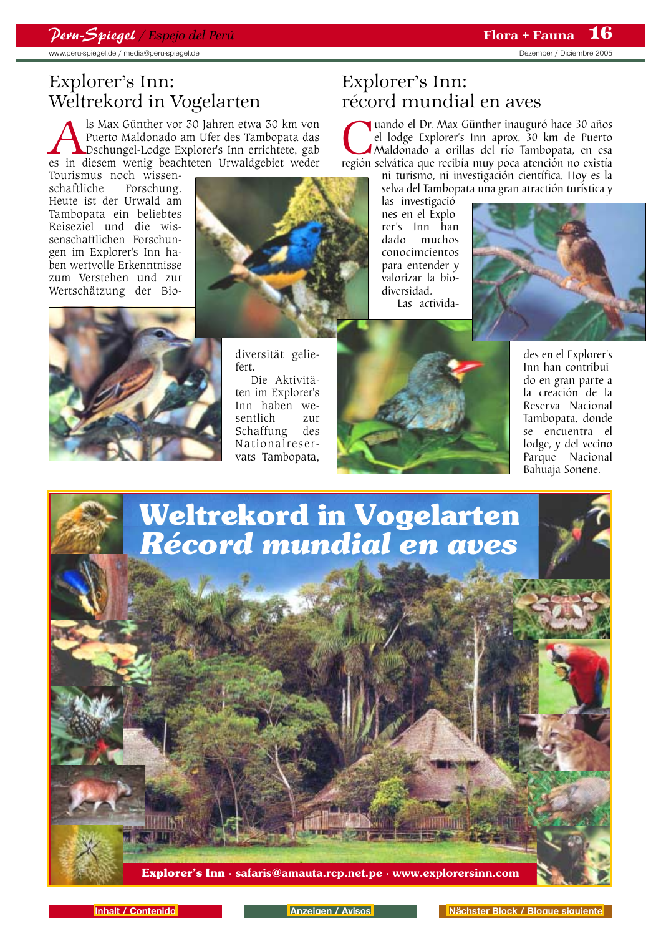www.peru-spiegel.de / media@peru-spiegel.de by the according of the Dezember of Diciembre 2005

# Explorer's Inn: Weltrekord in Vogelarten

Als Max Günther vor 30 Jahren etwa 30 km von Puerto Maldonado am Ufer des Tambopata das Dschungel-Lodge Explorer's Inn errichtete, gabes in diesem wenig beachteten Urwaldgebiet weder Puerto Maldonado am Ufer des Tambopata das Dschungel-Lodge Explorer's Inn errichtete, gab

Tourismus noch wissen-<br>schaftliche Forschung. Forschung. Heute ist der Urwald am Tambopata ein beliebtes Reiseziel und die wissenschaftlichen Forschungen im Explorer's Inn haben wertvolle Erkenntnisse zum Verstehen und zur Wertschätzung der Bio-



# Explorer's Inn: récord mundial en aves

**Cuando el Dr. Max Günther inauguró hace 30 años el lodge Explorer's Inn aprox. 30 km de Puerto Maldonado a orillas del río Tambopata, en esa región selvática que recibía muy poca atención no existía** el lodge Explorer's Inn aprox. 30 km de Puerto Maldonado a orillas del río Tambopata, en esa región selvática que recibía muy poca atención no existía

ni turismo, ni investigación científica. Hoy es la

selva del Tambopata una gran atractión turística y

las investigaciónes en el Explorer's Inn han muchos conocimcientos para entender y valorizar la biodiversidad. Las activida-





diversität geliefert.

Die Aktivitäten im Explorer's Inn haben wesentlich zur Schaffung des Nationalreservats Tambopata,



des en el Explorer's Inn han contribuido en gran parte a la creación de la Reserva Nacional Tambopata, donde se encuentra el lodge, y del vecino Parque Nacional Bahuaja-Sonene.

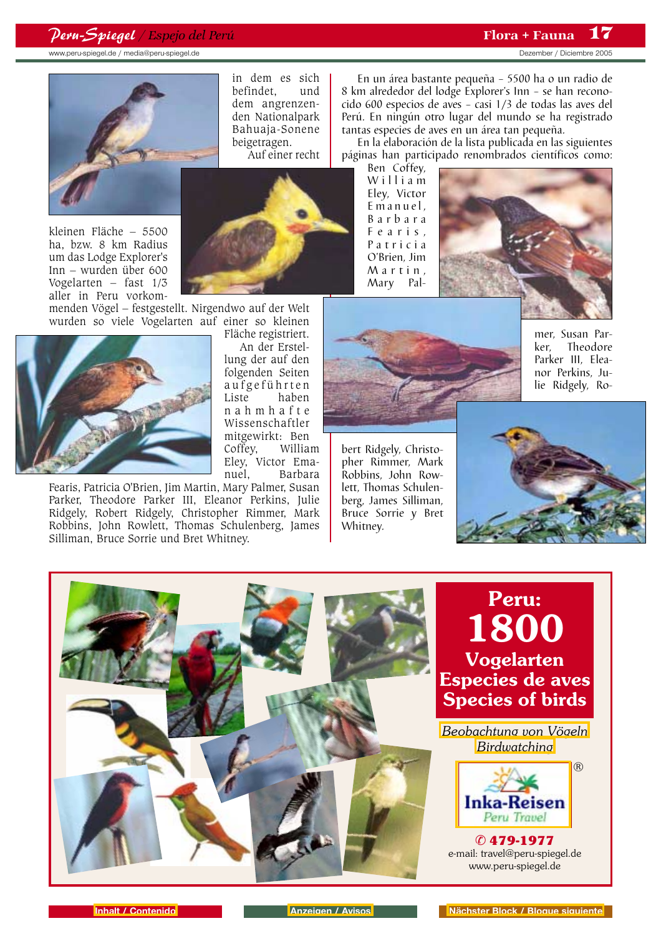## *Peru-Spiegel / Espejo del Perú* Flora + Fauna

www.peru-spiegel.de / media@peru-spiegel.de bezember / Diciembre 2005

17



in dem es sich befindet. dem angrenzenden Nationalpark Bahuaja-Sonene beigetragen.

Auf einer recht



menden Vögel – festgestellt. Nirgendwo auf der Welt wurden so viele Vogelarten auf einer so kleinen Fläche registriert.



Fearis, Patricia O'Brien, Jim Martin, Mary Palmer, Susan Parker, Theodore Parker III, Eleanor Perkins, Julie Ridgely, Robert Ridgely, Christopher Rimmer, Mark Robbins, John Rowlett, Thomas Schulenberg, James Silliman, Bruce Sorrie und Bret Whitney.



An der Erstellung der auf den folgenden Seiten aufgeführten Liste haben nahmhafte Wissenschaftler mitgewirkt: Ben Coffey, William Eley, Victor Emanuel, Barbara

En un área bastante pequeña – 5500 ha o un radio de 8 km alrededor del lodge Explorer's Inn – se han reconocido 600 especios de aves – casi 1/3 de todas las aves del Perú. En ningún otro lugar del mundo se ha registrado tantas especies de aves en un área tan pequeña.

En la elaboración de la lista publicada en las siguientes páginas han participado renombrados científicos como:

Ben Coffey, William Eley, Victor Emanuel, Barbara Fearis, Patricia O'Brien, Jim Martin, Mary Pal-





mer, Susan Par-<br>ker. Theodore **Theodore** Parker III, Eleanor Perkins, Julie Ridgely, Ro-





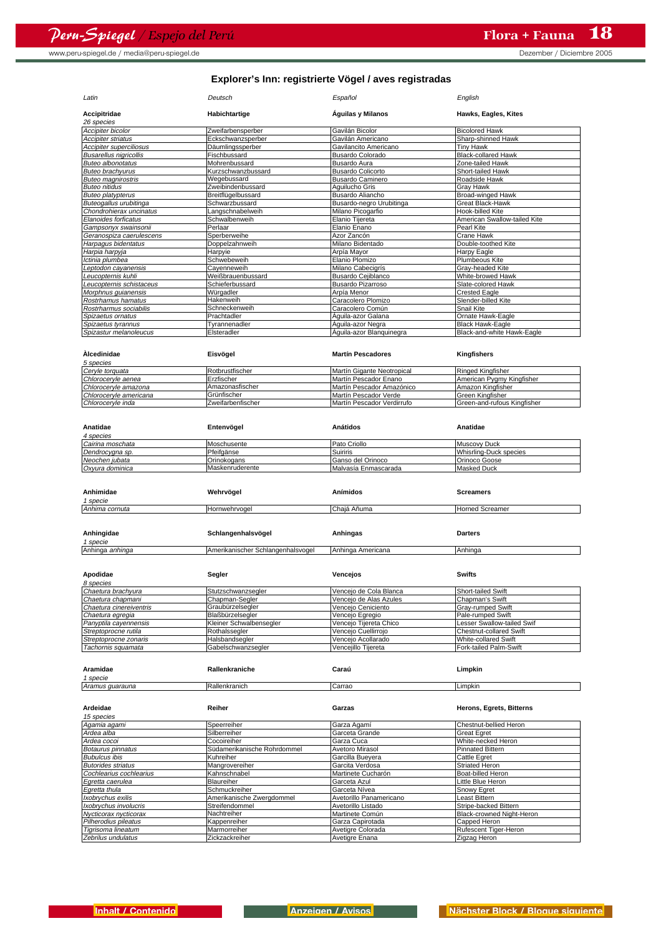www.peru-spiegel.de / media@peru-spiegel.de by the control of the Dezember of Diciembre 2005

| Latin                                             | Deutsch                              | Español                              | English                                          |
|---------------------------------------------------|--------------------------------------|--------------------------------------|--------------------------------------------------|
| Accipitridae<br>26 species                        | Habichtartige                        | Águilas y Milanos                    | Hawks, Eagles, Kites                             |
| Accipiter bicolor                                 | Zweifarbensperber                    | Gavilán Bicolor                      | <b>Bicolored Hawk</b>                            |
| Accipiter striatus                                | Eckschwanzsperber                    | Gavilán Americano                    | Sharp-shinned Hawk                               |
| Accipiter superciliosus                           | Däumlingssperber                     | Gavilancito Americano                | Tiny Hawk                                        |
| <b>Busarellus nigricollis</b>                     | Fischbussard                         | <b>Busardo Colorado</b>              | <b>Black-collared Hawk</b>                       |
| <b>Buteo albonotatus</b>                          | Mohrenbussard                        | Busardo Aura                         | Zone-tailed Hawk                                 |
| Buteo brachyurus                                  | Kurzschwanzbussard                   | <b>Busardo Colicorto</b>             | Short-tailed Hawk                                |
| Buteo magnirostris                                | Wegebussard                          | <b>Busardo Caminero</b>              | Roadside Hawk                                    |
| Buteo nitidus                                     | Zweibindenbussard                    | Aguilucho Gris                       | Gray Hawk                                        |
| Buteo platypterus                                 | Breitflügelbussard                   | Busardo Aliancho                     | <b>Broad-winged Hawk</b>                         |
| Buteogallus urubitinga<br>Chondrohierax uncinatus | Schwarzbussard                       | Busardo-negro Urubitinga             | Great Black-Hawk                                 |
| Elanoides forficatus                              | Langschnabelweih<br>Schwalbenweih    | Milano Picogarfio<br>Elanio Tijereta | Hook-billed Kite<br>American Swallow-tailed Kite |
| Gampsonyx swainsonii                              | Perlaar                              | Elanio Enano                         | Pearl Kite                                       |
| Geranospiza caerulescens                          | Sperberweihe                         | Azor Zancón                          | Crane Hawk                                       |
| Harpagus bidentatus                               | Doppelzahnweih                       | Milano Bidentado                     | Double-toothed Kite                              |
| Harpia harpyja                                    | Harpyie                              | Arpía Mayor                          | Harpy Eagle                                      |
| lctinia plumbea                                   | Schwebeweih                          | Elanio Plomizo                       | Plumbeous Kite                                   |
| Leptodon cayanensis                               | Cayenneweih                          | Milano Cabecigrís                    | Gray-headed Kite                                 |
| Leucopternis kuhli                                | Weißbrauenbussard                    | Busardo Cejiblanco                   | White-browed Hawk                                |
| eucopternis schistaceus                           | Schieferbussard                      | Busardo Pizarroso                    | Slate-colored Hawk                               |
| Morphnus guianensis                               | Würgadler                            | Arpía Menor                          | <b>Crested Eagle</b>                             |
| Rostrhamus hamatus                                | Hakenweih                            | Caracolero Plomizo                   | Slender-billed Kite                              |
| Rostrharmus sociabilis                            | Schneckenweih                        | Caracolero Común                     | Snail Kite                                       |
| Spizaetus ornatus                                 | Prachtadler                          | Águila-azor Galana                   | Ornate Hawk-Eagle                                |
| Spizaetus tyrannus                                | Tyrannenadler                        | Águila-azor Negra                    | <b>Black Hawk-Eagle</b>                          |
| Spizastur melanoleucus                            | Elsteradler                          | Águila-azor Blanguinegra             | Black-and-white Hawk-Eagle                       |
|                                                   |                                      |                                      |                                                  |
| Àlcedinidae<br>5 species                          | Eisvögel                             | <b>Martín Pescadores</b>             | Kingfishers                                      |
| Ceryle torquata                                   | Rotbrustfischer                      | Martín Gigante Neotropical           | Ringed Kingfisher                                |
| Chloroceryle aenea                                | Erzfischer                           | Martín Pescador Enano                | American Pygmy Kingfisher                        |
| Chloroceryle amazona                              | Amazonasfischer                      | Martín Pescador Amazónico            | Amazon Kingfisher                                |
| Chloroceryle americana                            | Grünfischer                          | Martín Pescador Verde                | Green Kingfisher                                 |
| Chloroceryle inda                                 | Zweifarbenfischer                    | Martín Pescador Verdirrufo           | Green-and-rufous Kingfisher                      |
|                                                   |                                      |                                      |                                                  |
| Anatidae<br>4 species                             | Entenvögel                           | <b>Anátidos</b>                      | Anatidae                                         |
| Cairina moschata                                  | Moschusente                          | Pato Criollo                         | Muscovy Duck                                     |
| Dendrocygna sp.                                   | Pfeifgänse                           | Suiriris                             | Whisrling-Duck species                           |
| Neochen jubata                                    | Orinokogans                          | Ganso del Orinoco                    | Orinoco Goose                                    |
|                                                   |                                      |                                      |                                                  |
| Oxyura dominica                                   | Maskenruderente                      | Malvasía Enmascarada                 | <b>Masked Duck</b>                               |
| Anhimidae<br>1 specie                             | Wehrvögel                            | Anímidos                             | <b>Screamers</b>                                 |
| Anhima cornuta                                    | Hornwehrvogel                        | Chajá Añuma                          | <b>Horned Screamer</b>                           |
| Anhingidae<br>1 specie                            | Schlangenhalsvögel                   | Anhingas                             | <b>Darters</b>                                   |
| Anhinga anhinga                                   | Amerikanischer Schlangenhalsvogel    | Anhinga Americana                    | Anhinga                                          |
| Apodidae                                          | Segler                               | Vencejos                             | <b>Swifts</b>                                    |
| 8 species<br>Chaetura brachyura                   |                                      | Vencejo de Cola Blanca               | Short-tailed Swift                               |
| Chaetura chapmani                                 | Stutzschwanzsegler<br>Chapman-Segler | Vencejo de Alas Azules               | Chapman's Swift                                  |
| Chaetura cinereiventris                           | Graubürzelsegler                     | Vencejo Ceniciento                   | Gray-rumped Swift                                |
| Chaetura egregia                                  | Blaßbürzelsegler                     | Vencejo Egregio                      | Pale-rumped Swift                                |
| Panyptila cayennensis                             | Kleiner Schwalbensegler              | Vencejo Tijereta Chico               | Lesser Swallow-tailed Swif                       |
| Streptoprocne rutila                              | Rothalssegler                        | Vencejo Cuellirrojo                  | <b>Chestnut-collared Swift</b>                   |
| Streptoprocne zonaris                             | Halsbandsegler                       | Vencejo Acollarado                   | White-collared Swift                             |
| Tachornis squamata                                | Gabelschwanzsegler                   | Vencejillo Tijereta                  | Fork-tailed Palm-Swift                           |
| Aramidae<br>1 specie                              | Rallenkraniche                       | Caraú                                | Limpkin                                          |
| Aramus quarauna                                   | Rallenkranich                        | Carrao                               | Limpkin                                          |
| Ardeidae<br>15 species                            | Reiher                               | Garzas                               | Herons, Egrets, Bitterns                         |
| Agamia agami                                      | Speerreiher                          | Garza Agamí                          | Chestnut-bellied Heron                           |
| Ardea alba                                        | Silberreiher                         | Garceta Grande                       | Great Egret                                      |
| Ardea cocoi                                       | Cocoireiher                          | Garza Cuca                           | White-necked Heron                               |
| Botaurus pinnatus                                 | Südamerikanische Rohrdommel          | Avetoro Mirasol                      | Pinnated Bittern                                 |
| <b>Bubulcus ibis</b>                              | Kuhreiher                            | Garcilla Bueyera                     | Cattle Egret                                     |
| <b>Butorides striatus</b>                         | Mangrovereiher                       | Garcita Verdosa                      | Striated Heron                                   |
| Cochlearius cochlearius                           | Kahnschnabel                         | Martinete Cucharón                   | Boat-billed Heron                                |
| Egretta caerulea                                  | Blaureiher                           | Garceta Azul                         | Little Blue Heron                                |
| Egretta thula                                     | Schmuckreiher                        | Garceta Nívea                        | Snowy Egret                                      |
| Ixobrychus exilis                                 | Amerikanische Zwergdommel            | Avetorillo Panamericano              | Least Bittern                                    |
| Ixobrychus involucris                             | Streifendommel                       | Avetorillo Listado                   | Stripe-backed Bittern                            |
| Nycticorax nycticorax                             | Nachtreiher                          | Martinete Común                      | Black-crowned Night-Heron                        |
| Pilherodius pileatus                              | Kappenreiher                         | Garza Capirotada                     | Capped Heron                                     |
| Tigrisoma lineatum<br>Zebrilus undulatus          | Marmorreiher<br>Zickzackreiher       | Avetigre Colorada<br>Avetigre Enana  | Rufescent Tiger-Heron<br>Zigzag Heron            |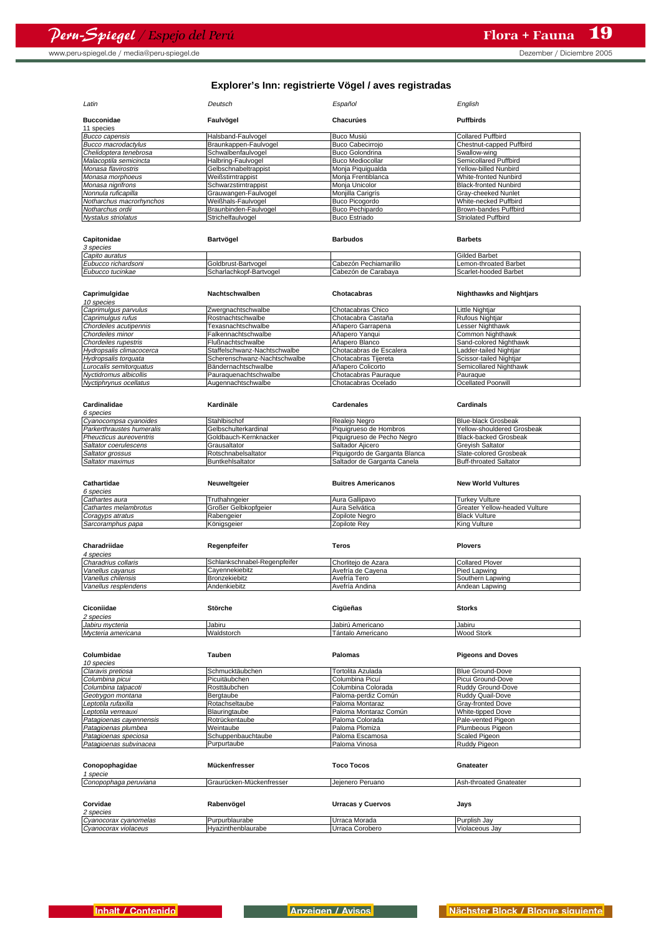www.peru-spiegel.de / media@peru-spiegel.de but control in the control of the Dezember / Diciembre 2005

| Latin                      | Deutsch               | Español                 | English                      |
|----------------------------|-----------------------|-------------------------|------------------------------|
| <b>Bucconidae</b>          | Faulvögel             | Chacurúes               | <b>Puffbirds</b>             |
| 11 species                 |                       |                         |                              |
| <b>Bucco capensis</b>      | Halsband-Faulvogel    | Buco Musiú              | <b>Collared Puffbird</b>     |
| <b>Bucco macrodactylus</b> | Braunkappen-Faulvogel | <b>Buco Cabecirrojo</b> | Chestnut-capped Puffbird     |
| Chelidoptera tenebrosa     | Schwalbenfaulvogel    | <b>Buco Golondrina</b>  | Swallow-wing                 |
| Malacoptila semicincta     | Halbring-Faulvogel    | <b>Buco Mediocollar</b> | Semicollared Puffbird        |
| Monasa flavirostris        | Gelbschnabeltrappist  | Monja Piquiqualda       | Yellow-billed Nunbird        |
| Monasa morphoeus           | Weißstirntrappist     | Monia Frentiblanca      | <b>White-fronted Nunbird</b> |
| Monasa nigrifrons          | Schwarzstirntrappist  | Monia Unicolor          | <b>Black-fronted Nunbird</b> |
| Nonnula ruficapilla        | Grauwangen-Faulvogel  | Monjilla Carigrís       | Gray-cheeked Nunlet          |
| Notharchus macrorhynchos   | Weißhals-Faulvogel    | Buco Picogordo          | White-necked Puffbird        |
| Notharchus ordii           | Braunbinden-Faulvogel | Buco Pechipardo         | Brown-bandes Puffbird        |
| Nystalus striolatus        | Strichelfaulvogel     | <b>Buco Estriado</b>    | <b>Striolated Puffbird</b>   |
|                            |                       |                         |                              |

| Capitonidae         | Bartvögel               | <b>Barbudos</b>       | <b>Barbets</b>        |
|---------------------|-------------------------|-----------------------|-----------------------|
| 3 species           |                         |                       |                       |
| Capito auratus      |                         |                       | Gilded Barbet         |
| Eubucco richardsoni | Goldbrust-Bartvogel     | Cabezón Pechiamarillo | Lemon-throated Barbet |
| Eubucco tucinkae    | Scharlachkopf-Bartvogel | Cabezón de Carabava   | Scarlet-hooded Barbet |

| Caprimulgidae            | Nachtschwalben               | Chotacabras             | <b>Nighthawks and Nightjars</b> |
|--------------------------|------------------------------|-------------------------|---------------------------------|
| 10 species               |                              |                         |                                 |
| Caprimulgus parvulus     | Zwergnachtschwalbe           | Chotacabras Chico       | <b>Little Nightjar</b>          |
| Caprimulgus rufus        | Rostnachtschwalbe            | Chotacabra Castaña      | <b>Rufous Nightjar</b>          |
| Chordeiles acutipennis   | Texasnachtschwalbe           | Añapero Garrapena       | Lesser Nighthawk                |
| Chordeiles minor         | Falkennachtschwalbe          | Añapero Yangui          | Common Nighthawk                |
| Chordeiles rupestris     | Flußnachtschwalbe            | Añapero Blanco          | Sand-colored Nighthawk          |
| Hydropsalis climacocerca | Staffelschwanz-Nachtschwalbe | Chotacabras de Escalera | Ladder-tailed Nightjar          |
| Hydropsalis torquata     | Scherenschwanz-Nachtschwalbe | Chotacabras Tijereta    | Scissor-tailed Nightjar         |
| Lurocalis semitorquatus  | Bändernachtschwalbe          | Añapero Colicorto       | Semicollared Nighthawk          |
| Nyctidromus albicollis   | Pauraquenachtschwalbe        | Chotacabras Pauraque    | Pauraque                        |
| Nyctiphrynus ocellatus   | Augennachtschwalbe           | Chotacabras Ocelado     | <b>Ocellated Poorwill</b>       |

| Cardinalidae              | Kardinäle             | Cardenales                    | Cardinals                     |
|---------------------------|-----------------------|-------------------------------|-------------------------------|
| 6 species                 |                       |                               |                               |
| Cyanocompsa cyanoides     | Stahlbischof          | Realeio Negro                 | Blue-black Grosbeak           |
| Parkerthraustes humeralis | Gelbschulterkardinal  | Piquigrueso de Hombros        | Yellow-shouldered Grosbeak    |
| Pheucticus aureoventris   | Goldbauch-Kernknacker | Piquigrueso de Pecho Negro    | Black-backed Grosbeak         |
| Saltator coerulescens     | Grausaltator          | Saltador Alicero              | <b>Grevish Saltator</b>       |
| Saltator grossus          | Rotschnabelsaltator   | Piquigordo de Garganta Blanca | Slate-colored Grosbeak        |
| Saltator maximus          | Buntkehlsaltator      | Saltador de Garganta Canela   | <b>Buff-throated Saltator</b> |
|                           |                       |                               |                               |

| Cathartidae           | Neuweltaeier         | Buitres Americanos | <b>New World Vultures</b>             |
|-----------------------|----------------------|--------------------|---------------------------------------|
| 6 species             |                      |                    |                                       |
| Cathartes aura        | Truthahngeier        | Aura Gallipavo     | <b>Turkey Vulture</b>                 |
| Cathartes melambrotus | Großer Gelbkopfaeier | Aura Selvática     | <b>IGreater Yellow-headed Vulture</b> |
| Coragyps atratus      | Rabengeier           | Zopilote Nearo     | <b>Black Vulture</b>                  |
| Sarcoramphus papa     | Königsgeier          | Zopilote Rev       | King Vulture                          |

| Charadriidae         | Regenpfeifer                 | Teros               | <b>Plovers</b>         |
|----------------------|------------------------------|---------------------|------------------------|
| 4 species            |                              |                     |                        |
| Charadrius collaris  | Schlankschnabel-Regenpfeifer | Chorliteio de Azara | <b>Collared Plover</b> |
| Vanellus cavanus     | Cavennekiebitz               | Avefría de Cavena   | Pied Lapwing           |
| Vanellus chilensis   | Bronzekiebitz                | Avefría Tero        | Southern Lapwing       |
| Vanellus resplendens | Andenkiebitz                 | Avefría Andina      | Andean Lapwing         |

| Ciconiidae<br>2 species | Störche    | Cigüeñas          | <b>Storks</b>     |
|-------------------------|------------|-------------------|-------------------|
| Jabiru mycteria         | Jabiru     | Jabirú Americano  | Jabiru            |
| Mycteria americana      | Waldstorch | Tántalo Americano | <b>Wood Stork</b> |

| Columbidae              | <b>Tauben</b>            | Palomas               |                          |
|-------------------------|--------------------------|-----------------------|--------------------------|
|                         |                          |                       | <b>Pigeons and Doves</b> |
| 10 species              |                          |                       |                          |
| Claravis pretiosa       | Schmucktäubchen          | Tortolita Azulada     | Blue Ground-Dove         |
| Columbina picui         | Picuitäubchen            | Columbina Picuí       | Picui Ground-Dove        |
| Columbina talpacoti     | Rosttäubchen             | Columbina Colorada    | Ruddy Ground-Dove        |
| Geotrygon montana       | Bergtaube                | Paloma-perdiz Común   | Ruddy Quail-Dove         |
| Leptotila rufaxilla     | Rotachseltaube           | Paloma Montaraz       | <b>Gray-fronted Dove</b> |
| Leptotila verreauxi     | Blauringtaube            | Paloma Montaraz Común | <b>White-tipped Dove</b> |
| Patagioenas cayennensis | Rotrückentaube           | Paloma Colorada       | Pale-vented Pigeon       |
| Patagioenas plumbea     | Weintaube                | Paloma Plomiza        | Plumbeous Pigeon         |
| Patagioenas speciosa    | Schuppenbauchtaube       | Paloma Escamosa       | Scaled Pigeon            |
| Patagioenas subvinacea  | Purpurtaube              | Paloma Vinosa         | Ruddy Pigeon             |
|                         |                          |                       |                          |
| Conopophagidae          | Mückenfresser            | <b>Toco Tocos</b>     | Gnateater                |
| 1 specie                |                          |                       |                          |
| Conopophaga peruviana   | Graurücken-Mückenfresser | Jeienero Peruano      | Ash-throated Gnateater   |
|                         |                          |                       |                          |
| Corvidae                | Rabenvögel               | Urracas y Cuervos     | Jays                     |
| 2 species               |                          |                       |                          |
| Cyanocorax cyanomelas   | Purpurblaurabe           | Urraca Morada         | Purplish Jay             |
| Cyanocorax violaceus    | Hvazinthenblaurabe       | Urraca Corobero       | Violaceous Jav           |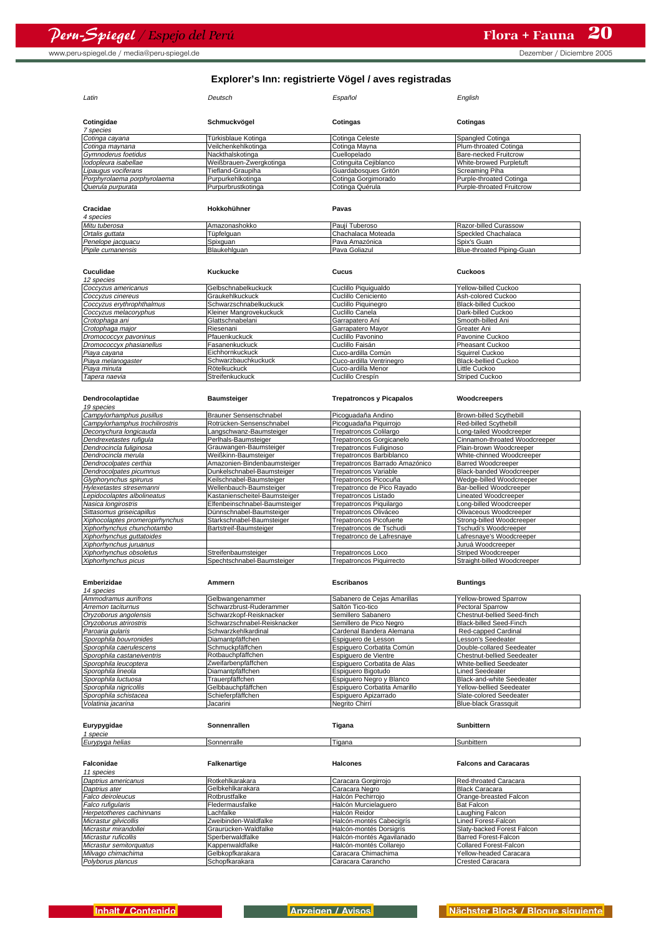| Latin                       | Deutsch                 | Español               | English                   |
|-----------------------------|-------------------------|-----------------------|---------------------------|
| Cotingidae<br>7 species     | Schmuckvögel            | Cotingas              | Cotingas                  |
| Cotinga cayana              | Türkisblaue Kotinga     | Cotinga Celeste       | Spangled Cotinga          |
| Cotinga maynana             | Veilchenkehlkotinga     | Cotinga Mayna         | Plum-throated Cotinga     |
| Gymnoderus foetidus         | Nackthalskotinga        | Cuellopelado          | Bare-necked Fruitcrow     |
| lodopleura isabellae        | Weißbrauen-Zwergkotinga | Cotinguita Cejiblanco | White-browed Purpletuft   |
| Lipaugus vociferans         | Tiefland-Graupiha       | Guardabosques Gritón  | Screaming Piha            |
| Porphyrolaema porphyrolaema | Purpurkehlkotinga       | Cotinga Gorgimorado   | Purple-throated Cotinga   |
| Querula purpurata           | Purpurbrustkotinga      | Cotinga Quérula       | Purple-throated Fruitcrow |

| Cracidae          | Hokkohühner   | Pavas              |                           |
|-------------------|---------------|--------------------|---------------------------|
| 4 species         |               |                    |                           |
| Mitu tuberosa     | Amazonashokko | Pauií Tuberoso     | Razor-billed Curassow     |
| Ortalis guttata   | Tüpfelguan    | Chachalaca Moteada | Speckled Chachalaca       |
| Penelope jacquacu | Spixquan      | Pava Amazónica     | Spix's Guan               |
| Pipile cumanensis | Blaukehlguan  | Pava Goliazul      | Blue-throated Piping-Guan |

| Cuculidae                 | Kuckucke                | <b>Cucus</b>             | Cuckoos                    |
|---------------------------|-------------------------|--------------------------|----------------------------|
| 12 species                |                         |                          |                            |
| Coccyzus americanus       | Gelbschnabelkuckuck     | Cuclillo Piquiqualdo     | Yellow-billed Cuckoo       |
| Coccvzus cinereus         | Graukehlkuckuck         | Cuclillo Ceniciento      | Ash-colored Cuckoo         |
| Coccyzus erythrophthalmus | Schwarzschnabelkuckuck  | Cuclillo Piquinegro      | <b>Black-billed Cuckoo</b> |
| Coccyzus melacoryphus     | Kleiner Mangrovekuckuck | Cuclillo Canela          | Dark-billed Cuckoo         |
| Crotophaga ani            | Glattschnabelani        | Garrapatero Aní          | Smooth-billed Ani          |
| Crotophaga major          | Riesenani               | Garrapatero Mayor        | Greater Ani                |
| Dromococcyx pavoninus     | Pfauenkuckuck           | Cuclillo Pavonino        | Pavonine Cuckoo            |
| Dromococcyx phasianellus  | Fasanenkuckuck          | Cuclillo Faisán          | Pheasant Cuckoo            |
| Piaya cayana              | Eichhornkuckuck         | Cuco-ardilla Común       | Squirrel Cuckoo            |
| Piaya melanogaster        | Schwarzbauchkuckuck     | Cuco-ardilla Ventrinegro | Black-bellied Cuckoo       |
| Piaya minuta              | Rötelkuckuck            | Cuco-ardilla Menor       | Little Cuckoo              |
| Tapera naevia             | Streifenkuckuck         | Cuclillo Crespín         | Striped Cuckoo             |

| Dendrocolaptidae                | <b>Baumsteiger</b>            | <b>Trepatroncos y Picapalos</b> | Woodcreepers                   |
|---------------------------------|-------------------------------|---------------------------------|--------------------------------|
| 19 species                      |                               |                                 |                                |
| Campylorhamphus pusillus        | Brauner Sensenschnabel        | Picoquadaña Andino              | <b>Brown-billed Scythebill</b> |
| Campylorhamphus trochilirostris | Rotrücken-Sensenschnabel      | Picoguadaña Piguirrojo          | Red-billed Scythebill          |
| Deconychura longicauda          | Langschwanz-Baumsteiger       | Trepatroncos Colilargo          | Long-tailed Woodcreeper        |
| Dendrexetastes rufiqula         | Perlhals-Baumsteiger          | Trepatroncos Gorgicanelo        | Cinnamon-throated Woodcreeper  |
| Dendrocincla fuliginosa         | Grauwangen-Baumsteiger        | Trepatroncos Fuliginoso         | Plain-brown Woodcreeper        |
| Dendrocincla merula             | Weißkinn-Baumsteiger          | Trepatroncos Barbiblanco        | White-chinned Woodcreeper      |
| Dendrocolpates certhia          | Amazonien-Bindenbaumsteiger   | Trepatroncos Barrado Amazónico  | <b>Barred Woodcreeper</b>      |
| Dendrocolpates picumnus         | Dunkelschnabel-Baumsteiger    | <b>Trepatroncos Variable</b>    | Black-banded Woodcreeper       |
| Glyphorynchus spirurus          | Keilschnabel-Baumsteiger      | Trepatroncos Picocuña           | Wedge-billed Woodcreeper       |
| Hylexetastes stresemanni        | Wellenbauch-Baumsteiger       | Trepatronco de Pico Rayado      | Bar-bellied Woodcreeper        |
| Lepidocolaptes albolineatus     | Kastanienscheitel-Baumsteiger | Trepatroncos Listado            | Lineated Woodcreeper           |
| Nasica longirostris             | Elfenbeinschnabel-Baumsteiger | Trepatroncos Piquilargo         | Long-billed Woodcreeper        |
| Sittasomus griseicapillus       | Dünnschnabel-Baumsteiger      | Trepatroncos Oliváceo           | Olivaceous Woodcreeper         |
| Xiphocolaptes promeropirhynchus | Starkschnabel-Baumsteiger     | <b>Trepatroncos Picofuerte</b>  | Strong-billed Woodcreeper      |
| Xiphorhynchus chunchotambo      | Bartstreif-Baumsteiger        | Trepatroncos de Tschudi         | Tschudi's Woodcreeper          |
| Xiphorhynchus guttatoides       |                               | Trepatronco de Lafresnaye       | Lafresnaye's Woodcreeper       |
| Xiphorhynchus juruanus          |                               |                                 | Juruá Woodcreeper              |
| Xiphorhynchus obsoletus         | Streifenbaumsteiger           | Trepatroncos Loco               | <b>Striped Woodcreeper</b>     |
| Xiphorhynchus picus             | Spechtschnabel-Baumsteiger    | <b>Trepatroncos Piquirrecto</b> | Straight-billed Woodcreeper    |

| Emberizidae                | Ammern                      | <b>Escribanos</b>            | <b>Buntings</b>             |
|----------------------------|-----------------------------|------------------------------|-----------------------------|
| 14 species                 |                             |                              |                             |
| Ammodramus aurifrons       | Gelbwangenammer             | Sabanero de Cejas Amarillas  | Yellow-browed Sparrow       |
| Arremon taciturnus         | Schwarzbrust-Ruderammer     | Saltón Tico-tico             | <b>Pectoral Sparrow</b>     |
| Oryzoborus angolensis      | Schwarzkopf-Reisknacker     | Semillero Sabanero           | Chestnut-bellied Seed-finch |
| Oryzoborus atrirostris     | Schwarzschnabel-Reisknacker | Semillero de Pico Negro      | Black-billed Seed-Finch     |
| Paroaria gularis           | Schwarzkehlkardinal         | Cardenal Bandera Alemana     | Red-capped Cardinal         |
| Sporophila bouvronides     | Diamantpfäffchen            | Espiguero de Lesson          | Lesson's Seedeater          |
| Sporophila caerulescens    | Schmuckpfäffchen            | Espiquero Corbatita Común    | Double-collared Seedeater   |
| Sporophila castaneiventris | Rotbauchpfäffchen           | Espiguero de Vientre         | Chestnut-bellied Seedeater  |
| Sporophila leucoptera      | Zweifarbenpfäffchen         | Espiquero Corbatita de Alas  | White-bellied Seedeater     |
| Sporophila lineola         | Diamantpfäffchen            | Espiguero Bigotudo           | <b>Lined Seedeater</b>      |
| Sporophila luctuosa        | Trauerpfäffchen             | Espiguero Negro y Blanco     | Black-and-white Seedeater   |
| Sporophila nigricollis     | Gelbbauchpfäffchen          | Espiguero Corbatita Amarillo | Yellow-bellied Seedeater    |
| Sporophila schistacea      | Schieferpfäffchen           | Espiguero Apizarrado         | Slate-colored Seedeater     |
| Volatinia jacarina         | Jacarini                    | Nearito Chirrí               | <b>Blue-black Grassquit</b> |

| Eurypygidae<br>1 specie  | Sonnenrallen         | Tigana                    | <b>Sunbittern</b>            |
|--------------------------|----------------------|---------------------------|------------------------------|
| Eurypyga helias          | Sonnenralle          | Tigana                    | Sunbittern                   |
| Falconidae<br>11 species | Falkenartige         | <b>Halcones</b>           | <b>Falcons and Caracaras</b> |
| Daptrius americanus      | Rotkehlkarakara      | Caracara Gorgirrojo       | Red-throated Caracara        |
| Daptrius ater            | Gelbkehlkarakara     | Caracara Negro            | <b>Black Caracara</b>        |
| Falco deiroleucus        | Rotbrustfalke        | Halcón Pechirroio         | Orange-breasted Falcon       |
| Falco rufiqularis        | Fledermausfalke      | Halcón Murcielaguero      | <b>Bat Falcon</b>            |
| Herpetotheres cachinnans | Lachfalke            | Halcón Reidor             | Laughing Falcon              |
| Micrastur gilvicollis    | Zweibinden-Waldfalke | Halcón-montés Cabecigrís  | Lined Forest-Falcon          |
| Micrastur mirandollei    | Graurücken-Waldfalke | Halcón-montés Dorsigrís   | Slatv-backed Forest Falcon   |
| Micrastur ruficollis     | Sperberwaldfalke     | Halcón-montés Agavilanado | Barred Forest-Falcon         |
| Micrastur semitorquatus  | Kappenwaldfalke      | Halcón-montés Collarejo   | Collared Forest-Falcon       |
| Milvago chimachima       | Gelbkopfkarakara     | Caracara Chimachima       | Yellow-headed Caracara       |
| Polyborus plancus        | Schopfkarakara       | Caracara Carancho         | <b>Crested Caracara</b>      |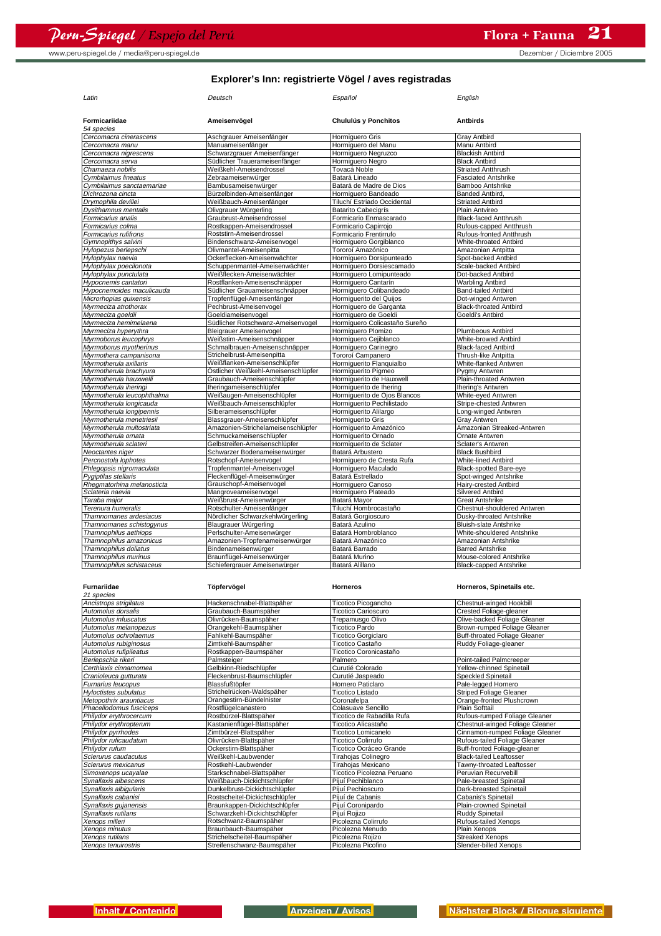| Latin                       | Deutsch                             | Español                       | English                       |
|-----------------------------|-------------------------------------|-------------------------------|-------------------------------|
| Formicariidae<br>54 species | Ameisenvögel                        | Chululús y Ponchitos          | <b>Antbirds</b>               |
| Cercomacra cinerascens      | Aschgrauer Ameisenfänger            | Hormiquero Gris               | <b>Gray Antbird</b>           |
| Cercomacra manu             | Manuameisenfänger                   | Hormiguero del Manu           | Manu Antbird                  |
| Cercomacra nigrescens       | Schwarzgrauer Ameisenfänger         | Hormiquero Negruzco           | <b>Blackish Antbird</b>       |
| Cercomacra serva            | Südlicher Trauerameisenfänger       | Hormiguero Negro              | <b>Black Antbird</b>          |
| Chamaeza nobilis            | Weißkehl-Ameisendrossel             | Tovacá Noble                  | <b>Striated Antthrush</b>     |
| Cymbilaimus lineatus        | Zebraameisenwürger                  | Batará Lineado                | <b>Fasciated Antshrike</b>    |
| Cymbilaimus sanctaemariae   | Bambusameisenwürger                 | Batará de Madre de Dios       | Bamboo Antshrike              |
| Dichrozona cincta           | Bürzelbinden-Ameisenfänger          |                               | Banded Antbird.               |
|                             |                                     | Hormiquero Bandeado           |                               |
| Drymophila devillei         | Weißbauch-Ameisenfänger             | Tiluchí Estriado Occidental   | <b>Striated Antbird</b>       |
| Dysithamnus mentalis        | Olivgrauer Würgerling               | <b>Batarito Cabecigrís</b>    | Plain Antvireo                |
| Formicarius analis          | Graubrust-Ameisendrossel            | Formicario Enmascarado        | <b>Black-faced Antthrush</b>  |
| Formicarius colma           | Rostkappen-Ameisendrossel           | Formicario Capirrojo          | Rufous-capped Antthrush       |
| Formicarius rufifrons       | Roststirn-Ameisendrossel            | Formicario Frentirrufo        | Rufous-fronted Antthrush      |
| Gymnopithys salvini         | Bindenschwanz-Ameisenvogel          | Hormiguero Gorgiblanco        | White-throated Antbird        |
| Hylopezus berlepschi        | Olivmantel-Ameisenpitta             | Tororoí Amazónico             | Amazonian Antpitta            |
| Hylophylax naevia           | Ockerflecken-Ameisenwächter         | Hormiquero Dorsipunteado      | Spot-backed Antbird           |
| Hylophylax poecilonota      | Schuppenmantel-Ameisenwächter       | Hormiguero Dorsiescamado      | Scale-backed Antbird          |
| Hylophylax punctulata       | Weißflecken-Ameisenwächter          | Hormiquero Lomipunteado       | Dot-backed Antbird            |
| Hypocnemis cantatori        | Rostflanken-Ameisenschnäpper        | Hormiquero Cantarín           | <b>Warbling Antbird</b>       |
| Hypocnemoides maculicauda   | Südlicher Grauameisenschnäpper      | Hormiquero Colibandeado       | <b>Band-tailed Antbird</b>    |
| Microrhopias quixensis      | Tropfenflügel-Ameisenfänger         | Hormiquerito del Quijos       | Dot-winged Antwren            |
| Myrmeciza atrothorax        | Pechbrust-Ameisenvogel              | Hormiquero de Garganta        | <b>Black-throated Antbird</b> |
| Myrmeciza goeldii           | Goeldiameisenvogel                  | Hormiquero de Goeldi          | Goeldi's Antbird              |
| Myrmeciza hemimelaena       | Südlicher Rotschwanz-Ameisenvogel   | Hormiquero Colicastaño Sureño |                               |
| Myrmeciza hyperythra        | <b>Bleigrauer Ameisenvogel</b>      | Hormiquero Plomizo            | <b>Plumbeous Antbird</b>      |
| Myrmoborus leucophrys       | Weißstirn-Ameisenschnäpper          | Hormiguero Cejiblanco         | White-browed Antbird          |
| Myrmoborus myotherinus      | Schmalbrauen-Ameisenschnäpper       | Hormiguero Carinegro          | <b>Black-faced Antbird</b>    |
| Myrmothera campanisona      | Strichelbrust-Ameisenpitta          | Tororoí Campanero             | Thrush-like Antpitta          |
| Myrmotherula axillaris      | Weißflanken-Ameisenschlüpfer        |                               | White-flanked Antwren         |
|                             |                                     | Hormiguerito Flanquialbo      |                               |
| Myrmotherula brachyura      | Östlicher Weißkehl-Ameisenschlüpfer | Hormiguerito Pigmeo           | Pygmy Antwren                 |
| Myrmotherula hauxwelli      | Graubauch-Ameisenschlüpfer          | Hormiquerito de Hauxwell      | Plain-throated Antwren        |
| Myrmotherula iheringi       | Iheringameisenschlüpfer             | Hormiquerito de Ihering       | <b>Ihering's Antwren</b>      |
| Myrmotherula leucophthalma  | Weißaugen-Ameisenschlüpfer          | Hormiquerito de Ojos Blancos  | White-eyed Antwren            |
| Myrmotherula longicauda     | Weißbauch-Ameisenschlüpfer          | Hormiquerito Pechilistado     | Stripe-chested Antwren        |
| Myrmotherula Iongipennis    | Silberameisenschlüpfer              | Hormiguerito Alilargo         | Long-winged Antwren           |
| Myrmotherula menetriesii    | Blassgrauer-Ameisenschlüpfer        | Hormiquerito Gris             | Gray Antwren                  |
| Myrmotherula multostriata   | Amazonien-Strichelameisenschlüpfer  | Hormiguerito Amazónico        | Amazonian Streaked-Antwren    |
| Mvrmotherula ornata         | Schmuckameisenschlüpfer             | Hormiquerito Ornado           | Ornate Antwren                |
| Myrmotherula sclateri       | Gelbstreifen-Ameisenschlüpfer       | Hormiguerito de Sclater       | Sclater's Antwren             |
| Neoctantes niger            | Schwarzer Bodenameisenwürger        | Batará Arbustero              | <b>Black Bushbird</b>         |
| Percnostola lophotes        | Rotschopf-Ameisenvogel              | Hormiquero de Cresta Rufa     | <b>White-lined Antbird</b>    |
| Phlegopsis nigromaculata    | Tropfenmantel-Ameisenvogel          | Hormiquero Maculado           | Black-spotted Bare-eye        |
| Pygiptilas stellaris        | Fleckenflügel-Ameisenwürger         | Batará Estrellado             | Spot-winged Antshrike         |
| Rhegmatorhina melanosticta  | Grauschopf-Ameisenvogel             | Hormiquero Canoso             | Hairy-crested Antbird         |
| Sclateria naevia            | Mangroveameisenvogel                | Hormiquero Plateado           | Silvered Antbird              |
| Taraba major                | Weißbrust-Ameisenwürger             | Batará Mayor                  | <b>Great Antshrike</b>        |
| Terenura humeralis          | Rotschulter-Ameisenfänger           | Tiluchí Hombrocastaño         | Chestnut-shouldered Antwren   |
| Thamnomanes ardesiacus      | Nördlicher Schwarzkehlwürgerling    | Batará Gorgioscuro            | Dusky-throated Antshrike      |
|                             | Blaugrauer Würgerling               | Batará Azulino                | <b>Bluish-slate Antshrike</b> |
| Thamnomanes schistogynus    |                                     |                               |                               |
| Thamnophilus aethiops       | Perlschulter-Ameisenwürger          | Batará Hombroblanco           | White-shouldered Antshrike    |
| Thamnophilus amazonicus     | Amazonien-Tropfenameisenwürger      | Batará Amazónico              | Amazonian Antshrike           |
| Thamnophilus doliatus       | Bindenameisenwürger                 | Batará Barrado                | <b>Barred Antshrike</b>       |
| Thamnophilus murinus        | Braunflügel-Ameisenwürger           | Batará Murino                 | Mouse-colored Antshrike       |
| Thamnophilus schistaceus    | Schiefergrauer Ameisenwürger        | Batará Alillano               | <b>Black-capped Antshrike</b> |

| <b>Furnariidae</b>           | Töpfervögel                    | <b>Horneros</b>            | Horneros, Spinetails etc.       |
|------------------------------|--------------------------------|----------------------------|---------------------------------|
| 21 species                   |                                |                            |                                 |
| Ancistrops strigilatus       | Hackenschnabel-Blattspäher     | Ticotico Picogancho        | Chestnut-winged Hookbill        |
| Automolus dorsalis           | Graubauch-Baumspäher           | <b>Ticotico Carioscuro</b> | Crested Foliage-gleaner         |
| Automolus infuscatus         | Olivrücken-Baumspäher          | Trepamusgo Olivo           | Olive-backed Foliage Gleaner    |
| Automolus melanopezus        | Orangekehl-Baumspäher          | Ticotico Pardo             | Brown-rumped Foliage Gleaner    |
| Automolus ochrolaemus        | Fahlkehl-Baumspäher            | <b>Ticotico Gorgiclaro</b> | Buff-throated Foliage Gleaner   |
| Automolus rubiginosus        | Zimtkehl-Baumspäher            | Ticotico Castaño           | Ruddy Foliage-gleaner           |
| Automolus rufipileatus       | Rostkappen-Baumspäher          | Ticotico Coronicastaño     |                                 |
| Berlepschia rikeri           | Palmsteiger                    | Palmero                    | Point-tailed Palmcreeper        |
| Certhiaxis cinnamomea        | Gelbkinn-Riedschlüpfer         | Curutié Colorado           | Yellow-chinned Spinetail        |
| Cranioleuca gutturata        | Fleckenbrust-Baumschlüpfer     | Curutié Jaspeado           | <b>Speckled Spinetail</b>       |
| <b>Furnarius leucopus</b>    | Blassfußtöpfer                 | Hornero Paticlaro          | Pale-legged Hornero             |
| <b>Hyloctistes subulatus</b> | Strichelrücken-Waldspäher      | Ticotico Listado           | <b>Striped Foliage Gleaner</b>  |
| Metopothrix arauntiacus      | Orangestirn-Bündelnister       | Coronafelpa                | Orange-fronted Plushcrown       |
| Phacellodomus fusciceps      | Rostflügelcanastero            | Colasuave Sencillo         | <b>Plain Softtail</b>           |
| Philydor erythrocercum       | Rostbürzel-Blattspäher         | Ticotico de Rabadilla Rufa | Rufous-rumped Foliage Gleaner   |
| Philydor erythropterum       | Kastanienflügel-Blattspäher    | Ticotico Alicastaño        | Chestnut-winged Foliage Gleaner |
| Philydor pyrrhodes           | Zimtbürzel-Blattspäher         | Ticotico Lomicanelo        | Cinnamon-rumped Foliage Gleaner |
| Philvdor ruficaudatum        | Olivrücken-Blattspäher         | Ticotico Colirrufo         | Rufous-tailed Foliage Gleaner   |
| Philydor rufum               | Ockerstirn-Blattspäher         | Ticotico Ocráceo Grande    | Buff-fronted Foliage-gleaner    |
| Sclerurus caudacutus         | Weißkehl-Laubwender            | Tirahojas Colinegro        | <b>Black-tailed Leaftosser</b>  |
| Sclerurus mexicanus          | Rostkehl-Laubwender            | Tirahojas Mexicano         | Tawny-throated Leaftosser       |
| Simoxenops ucayalae          | Starkschnabel-Blattspäher      | Ticotico Picolezna Peruano | Peruvian Recurvebill            |
| Synallaxis albescens         | Weißbauch-Dickichtschlüpfer    | Piiuí Pechiblanco          | Pale-breasted Spinetail         |
| Synallaxis albigularis       | Dunkelbrust-Dickichtschlüpfer  | Pijuí Pechioscuro          | Dark-breasted Spinetail         |
| Synallaxis cabanisi          | Rostscheitel-Dickichtschlüpfer | Piiuí de Cabanis           | Cabanis's Spinetail             |
| Synallaxis quianensis        | Braunkappen-Dickichtschlüpfer  | Pijuí Coronipardo          | Plain-crowned Spinetail         |
| Synallaxis rutilans          | Schwarzkehl-Dickichtschlüpfer  | Pijuí Rojizo               | Ruddy Spinetail                 |
| Xenops milleri               | Rotschwanz-Baumspäher          | Picolezna Colirrufo        | Rufous-tailed Xenops            |
| Xenops minutus               | Braunbauch-Baumspäher          | Picolezna Menudo           | Plain Xenops                    |
| Xenops rutilans              | Strichelscheitel-Baumspäher    | Picolezna Rojizo           | <b>Streaked Xenops</b>          |
| Xenops tenuirostris          | Streifenschwanz-Baumspäher     | Picolezna Picofino         | Slender-billed Xenops           |
|                              |                                |                            |                                 |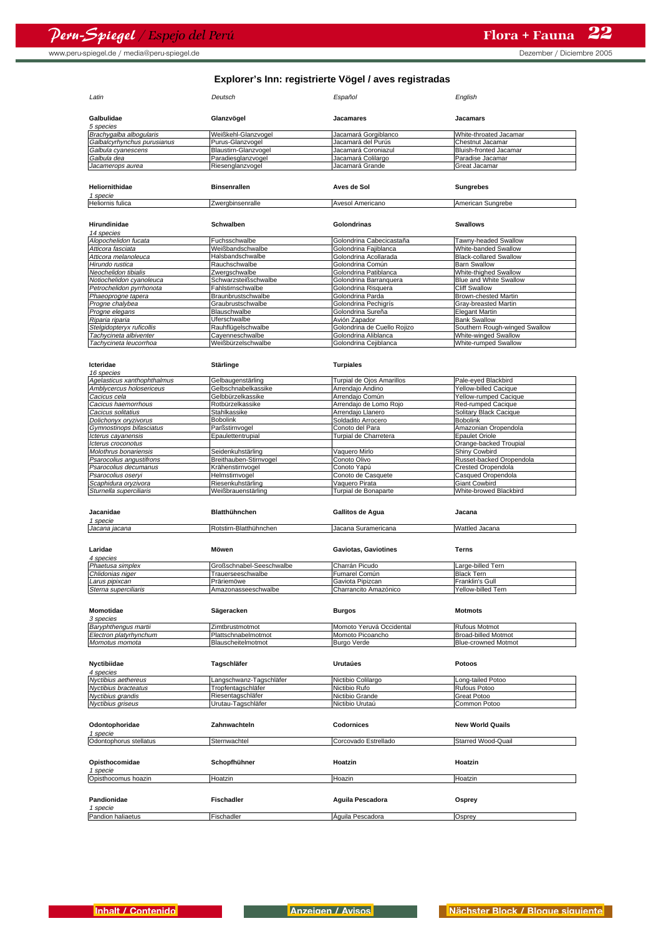www.peru-spiegel.de / media@peru-spiegel.de but control in the control of the Dezember / Diciembre 2005

| Explorer's Inn: registrierte Vögel / aves registradas |                          |                                   |                                      |
|-------------------------------------------------------|--------------------------|-----------------------------------|--------------------------------------|
| Latin                                                 | Deutsch                  | Español                           | English                              |
| Galbulidae<br>5 species                               | Glanzvögel               | Jacamares                         | Jacamars                             |
| Brachygalba albogularis                               | Weißkehl-Glanzvogel      | Jacamará Gorgiblanco              | White-throated Jacamar               |
| Galbalcyrhynchus purusianus                           | Purus-Glanzvogel         | Jacamará del Purús                | Chestnut Jacamar                     |
| Galbula cyanescens                                    | Blaustirn-Glanzvogel     | Jacamará Coroniazul               | Bluish-fronted Jacamar               |
| Galbula dea                                           | Paradiesglanzvogel       | Jacamará Colilargo                | Paradise Jacamar                     |
| Jacamerops aurea                                      | Riesenglanzvogel         | Jacamará Grande                   | Great Jacamar                        |
| Heliornithidae                                        | <b>Binsenrallen</b>      | Aves de Sol                       | <b>Sungrebes</b>                     |
| 1 specie<br>Heliornis fulica                          | Zwerabinsenralle         | Avesol Americano                  | American Sungrebe                    |
| Hirundinidae                                          | <b>Schwalben</b>         | Golondrinas                       | <b>Swallows</b>                      |
| 14 species                                            |                          |                                   |                                      |
| Alopochelidon fucata                                  | Fuchsschwalbe            | Golondrina Cabecicastaña          | Tawny-headed Swallow                 |
| Atticora fasciata                                     | Weißbandschwalbe         | Golondrina Fajiblanca             | White-banded Swallow                 |
| Atticora melanoleuca                                  | Halsbandschwalbe         | Golondrina Acollarada             | <b>Black-collared Swallow</b>        |
| Hirundo rustica                                       | Rauchschwalbe            | Golondrina Común                  | <b>Barn Swallow</b>                  |
| Neochelidon tibialis                                  | Zwergschwalbe            | Golondrina Patiblanca             | White-thighed Swallow                |
| Notiochelidon cyanoleuca                              | Schwarzsteißschwalbe     | Golondrina Barranquera            | Blue and White Swallow               |
| Petrochelidon pyrrhonota                              | Fahlstirnschwalbe        | Golondrina Risquera               | <b>Cliff Swallow</b>                 |
| Phaeoprogne tapera                                    | Braunbrustschwalbe       | Golondrina Parda                  | Brown-chested Martin                 |
| Progne chalybea                                       | Graubrustschwalbe        | Golondrina Pechigrís              | Gray-breasted Martin                 |
| Progne elegans                                        | Blauschwalbe             | Golondrina Sureña                 | Elegant Martin                       |
| Riparia riparia                                       | Uferschwalbe             | Avión Zapador                     | <b>Bank Swallow</b>                  |
| Stelgidopteryx ruficollis                             | Rauhflügelschwalbe       | Golondrina de Cuello Rojizo       | Southern Rough-winged Swallow        |
| Tachycineta albiventer                                | Cayenneschwalbe          | Golondrina Aliblanca              | White-winged Swallow                 |
| Tachycineta leucorrhoa                                | Weißbürzelschwalbe       | Golondrina Cejiblanca             | White-rumped Swallow                 |
|                                                       |                          |                                   |                                      |
| Icteridae<br>16 species                               | <b>Stärlinge</b>         | <b>Turpiales</b>                  |                                      |
| Agelasticus xanthophthalmus                           | Gelbaugenstärling        | Turpial de Ojos Amarillos         | Pale-eyed Blackbird                  |
| Amblycercus holosericeus                              | Gelbschnabelkassike      | Arrendajo Andino                  | Yellow-billed Cacique                |
| Cacicus cela                                          | Gelbbürzelkassike        | Arrendajo Común                   | Yellow-rumped Cacique                |
| Cacicus haemorrhous                                   | Rotbürzelkassike         | Arrendajo de Lomo Rojo            | Red-rumped Cacique                   |
| Cacicus solitatius                                    | Stahlkassike             | Arrendajo Llanero                 | Solitary Black Cacique               |
| Dolichonyx oryzivorus                                 | <b>Bobolink</b>          | Soldadito Arrocero                | Bobolink                             |
| Gymnostinops bifasciatus                              | Parßstirnvogel           | Conoto del Para                   | Amazonian Oropendola                 |
|                                                       | Epaulettentrupial        | Turpial de Charretera             | <b>Epaulet Oriole</b>                |
| Icterus cayanensis                                    |                          |                                   |                                      |
| Icterus croconotus                                    |                          |                                   | Orange-backed Troupial               |
| Molothrus bonariensis                                 | Seidenkuhstärling        | Vaquero Mirlo                     | Shiny Cowbird                        |
| Psarocolius angustifrons                              | Breithauben-Stirnvogel   | Conoto Olivo                      | Russet-backed Oropendola             |
| Psarocolius decumanus                                 | Krähenstirnvogel         | Conoto Yapú                       | Crested Oropendola                   |
| Psarocolius oseryi                                    | Helmstirnvogel           | Conoto de Casquete                | Casqued Oropendola                   |
| Scaphidura oryzivora                                  | Riesenkuhstärling        | Vaquero Pirata                    | Giant Cowbird                        |
| Sturnella superciliaris                               | Weißbrauenstärling       | Turpial de Bonaparte              | White-browed Blackbird               |
| Jacanidae<br>1 specie                                 | <b>Blatthühnchen</b>     | Gallitos de Agua                  | Jacana                               |
| Jacana jacana                                         | Rotstirn-Blatthühnchen   | Jacana Suramericana               | Wattled Jacana                       |
| Laridae                                               | Möwen                    | <b>Gaviotas, Gaviotines</b>       | Terns                                |
| 4 species<br>Phaetusa simplex                         | Großschnabel-Seeschwalbe | Charrán Picudo                    | Large-billed Tern                    |
|                                                       | Trauerseeschwalbe        |                                   |                                      |
| Chlidonias niger                                      | Präriemöwe               | Fumarel Común<br>Gaviota Pipizcan | <b>Black Tern</b><br>Franklin's Gull |
| Larus pipixcan<br>Sterna superciliaris                | Amazonasseeschwalbe      | Charrancito Amazónico             | Yellow-billed Tern                   |
|                                                       |                          |                                   |                                      |
| <b>Momotidae</b><br>3 species                         | Sägeracken               | <b>Burgos</b>                     | <b>Motmots</b>                       |
| Baryphthengus martii                                  | Zimtbrustmotmot          | Momoto Yeruvá Occidental          | Rufous Motmot                        |
| Electron platyrhynchum                                | Plattschnabelmotmot      | Momoto Picoancho                  | Broad-billed Motmot                  |
| Momotus momota                                        | Blauscheitelmotmot       | Burgo Verde                       | <b>Blue-crowned Motmot</b>           |
| Nyctibiidae                                           | Tagschläfer              | Urutaúes                          | Potoos                               |
| 4 species                                             |                          |                                   |                                      |
| Nyctibius aethereus                                   | angschwanz-Tagschläfer   | Nictibio Colilargo                | ong-tailed Potoo                     |
| Nyctibius bracteatus                                  | Tropfentagschläfer       | Nictibio Rufo                     | Rufous Potoo                         |
| Nyctibius grandis                                     | Riesentagschläfer        | Nictibio Grande                   | Great Potoo                          |
| Nyctibius griseus                                     | Urutau-Tagschläfer       | Nictibio Urutaú                   | Common Potoo                         |
| Odontophoridae                                        | Zahnwachteln             | Codornices                        | <b>New World Quails</b>              |
| 1 specie<br>Odontophorus stellatus                    | Sternwachtel             | Corcovado Estrellado              | Starred Wood-Quail                   |
| Opisthocomidae                                        | Schopfhühner             | Hoatzin                           | Hoatzin                              |
| 1 specie<br>Opisthocomus hoazin                       | Hoatzin                  | Hoazin                            | Hoatzin                              |
| Pandionidae                                           | <b>Fischadler</b>        | Aguila Pescadora                  | Osprey                               |
| 1 specie<br>Pandion haliaetus                         | Fischadler               | Aguila Pescadora                  | Osprey                               |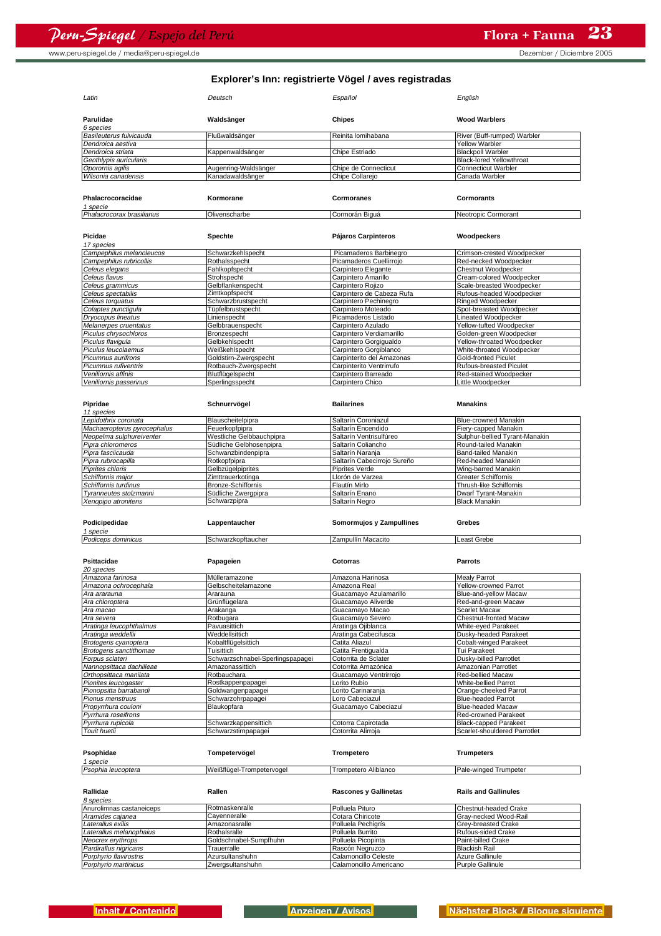www.peru-spiegel.de / media@peru-spiegel.de by the control of the control of the Dezember / Diciembre 2005

### **Explorer's Inn: registrierte Vögel / aves registradas**

| Latin                                           | Deutsch                                | Español                                      | English                                        |
|-------------------------------------------------|----------------------------------------|----------------------------------------------|------------------------------------------------|
| Parulidae<br>6 species                          | Waldsänger                             | Chipes                                       | <b>Wood Warblers</b>                           |
| Basileuterus fulvicauda                         | Flußwaldsänger                         | Reinita lomihabana                           | River (Buff-rumped) Warbler                    |
| Dendroica aestiva                               |                                        |                                              | <b>Yellow Warbler</b>                          |
| Dendroica striata                               | Kappenwaldsänger                       | Chipe Estriado                               | <b>Blackpoll Warbler</b>                       |
| Geothlypis auricularis                          |                                        |                                              | <b>Black-lored Yellowthroat</b>                |
| Oporornis agilis                                | Augenring-Waldsänger                   | Chipe de Connecticut                         | <b>Connecticut Warbler</b>                     |
| Wilsonia canadensis                             | Kanadawaldsänger                       | Chipe Collarejo                              | Canada Warbler                                 |
| Phalacrocoracidae<br>1 specie                   | Kormorane                              | Cormoranes                                   | Cormorants                                     |
| Phalacrocorax brasilianus                       | Olivenscharbe                          | Cormorán Biguá                               | Neotropic Cormorant                            |
|                                                 |                                        |                                              |                                                |
| Picidae<br>17 species                           | Spechte                                | Pájaros Carpinteros                          | Woodpeckers                                    |
| Campephilus melanoleucos                        | Schwarzkehlspecht                      | Picamaderos Barbinegro                       | Crimson-crested Woodpecker                     |
| Campephilus rubricollis                         | Rothalsspecht                          | Picamaderos Cuellirrojo                      | Red-necked Woodpecker                          |
| Celeus elegans                                  | Fahlkopfspecht                         | Carpintero Elegante                          | Chestnut Woodpecker                            |
| Celeus flavus                                   | Strohspecht                            | Carpintero Amarillo                          | Cream-colored Woodpecker                       |
| Celeus grammicus                                | Gelbflankenspecht                      | Carpintero Rojizo                            | Scale-breasted Woodpecker                      |
| Celeus spectabilis                              | Zimtkopfspecht                         | Carpintero de Cabeza Rufa                    | Rufous-headed Woodpecker                       |
| Celeus torquatus                                | Schwarzbrustspecht                     | Carpintero Pechinegro                        | Ringed Woodpecker                              |
| Colaptes punctigula                             | Tüpfelbrustspecht                      | Carpintero Moteado                           | Spot-breasted Woodpecker                       |
| Dryocopus lineatus                              | Linienspecht                           | Picamaderos Listado                          | Lineated Woodpecker                            |
| Melanerpes cruentatus                           | Gelbbrauenspecht                       | Carpintero Azulado                           | Yellow-tufted Woodpecker                       |
| Piculus chrysochloros                           | Bronzespecht                           | Carpintero Verdiamarillo                     | Golden-green Woodpecker                        |
| Piculus flaviqula                               | Gelbkehlspecht                         | Carpintero Gorgigualdo                       | Yellow-throated Woodpecker                     |
| Piculus leucolaemus                             | Weißkehlspecht                         | Carpintero Gorgiblanco                       | White-throated Woodpecker                      |
| Picumnus aurifrons                              | Goldstirn-Zwergspecht                  | Carpinterito del Amazonas                    | <b>Gold-fronted Piculet</b>                    |
| Picumnus rufiventris                            | Rotbauch-Zwergspecht                   | Carpinterito Ventrirrufo                     | Rufous-breasted Piculet                        |
| Veniliornis affinis                             | Blutflügelspecht                       | Carpintero Barreado                          | Red-stained Woodpecker                         |
| Veniliornis passerinus                          | Sperlingsspecht                        | Carpintero Chico                             | Little Woodpecker                              |
|                                                 |                                        |                                              |                                                |
| Pipridae<br>11 species                          | Schnurrvögel                           | <b>Bailarines</b>                            | <b>Manakins</b>                                |
| Lepidothrix coronata                            | Blauscheitelpipra                      | Saltarín Coroniazul                          | Blue-crowned Manakin                           |
| Machaeropterus pyrocephalus                     | Feuerkopfpipra                         | Saltarín Encendido                           | Fiery-capped Manakin                           |
| Neopelma sulphureiventer                        | Westliche Gelbbauchpipra               | Saltarín Ventrisulfúreo                      | Sulphur-bellied Tyrant-Manakin                 |
| Pipra chloromeros                               | Südliche Gelbhosenpipra                | Saltarín Coliancho                           | Round-tailed Manakin                           |
| Pipra fasciicauda                               | Schwanzbindenpipra                     | Saltarín Naranja                             | Band-tailed Manakin                            |
| Pipra rubrocapilla                              | Rotkopfpipra                           | Saltarín Cabecirrojo Sureño                  | Red-headed Manakin                             |
| Piprites chloris                                | Gelbzügelpiprites                      | Piprites Verde                               | Wing-barred Manakin                            |
|                                                 |                                        |                                              |                                                |
|                                                 |                                        |                                              |                                                |
| Schiffornis major                               | Zimttrauerkotinga                      | Llorón de Varzea                             | <b>Greater Schiffornis</b>                     |
| Schiffornis turdinus                            | Bronze-Schiffornis                     | Flautín Mirlo                                | Thrush-like Schiffornis                        |
| Tyranneutes stolzmanni                          | Südliche Zwergpipra                    | Saltarín Enano                               | Dwarf Tyrant-Manakin                           |
| Xenopipo atronitens                             | Schwarzpipra                           | Saltarín Negro                               | <b>Black Manakin</b>                           |
| Podicipedidae                                   | Lappentaucher                          | Somormujos y Zampullines                     | Grebes                                         |
| 1 specie                                        |                                        |                                              |                                                |
| Podiceps dominicus                              | Schwarzkopftaucher                     | Zampullín Macacito                           | Least Grebe                                    |
| Psittacidae<br>20 species                       | Papageien                              | Cotorras                                     | <b>Parrots</b>                                 |
|                                                 | Mülleramazone                          |                                              |                                                |
| Amazona farinosa<br>Amazona ochrocephala        |                                        | Amazona Harinosa<br>Amazona Real             | <b>Mealy Parrot</b><br>Yellow-crowned Parrot   |
|                                                 | Gelbscheitelamazone                    |                                              |                                                |
| Ara ararauna                                    | Ararauna<br>Grünflügelara              | Guacamayo Azulamarillo<br>Guacamayo Aliverde | Blue-and-yellow Macaw                          |
| Ara chloroptera<br>A <i>ra macao</i>            | Arakanga                               | Guacamavo Macao                              | Red-and-green Macaw<br><b>Scarlet Macaw</b>    |
|                                                 |                                        | Guacamayo Severo                             |                                                |
| A <i>ra severa</i>                              | Rotbugara<br>Pavuasittich              | Aratinga Ojiblanca                           | Chestnut-fronted Macaw                         |
| Aratinga leucophthalmus<br>Aratinga weddellii   | Weddellsittich                         | Aratinga Cabecifusca                         | White-eyed Parakeet<br>Dusky-headed Parakeet   |
|                                                 | Kobaltflügelsittich                    | Catita Aliazul                               | Cobalt-winged Parakeet                         |
| Brotogeris cyanoptera                           | Tuisittich                             | Catita Frentigualda                          |                                                |
| Brotogeris sanctithomae<br>Forpus sclateri      | Schwarzschnabel-Sperlingspapagei       | Cotorrita de Sclater                         | Tui Parakeet<br>Dusky-billed Parrotlet         |
| Nannopsittaca dachilleae                        | Amazonassittich                        | Cotorrita Amazónica                          | Amazonian Parrotlet                            |
|                                                 | Rotbauchara                            | Guacamayo Ventrirrojo                        | Red-bellied Macaw                              |
| Orthopsittaca manilata                          |                                        |                                              | White-bellied Parrot                           |
| Pionites leucogaster                            | Rostkappenpapagei<br>Goldwangenpapagei | Lorito Rubio                                 |                                                |
| Pionopsitta barrabandi                          |                                        | orito Carinaranja                            | Orange-cheeked Parrot                          |
| Pionus menstruus                                | Schwarzohrpapagei                      | oro Cabeciazul                               | <b>Blue-headed Parrot</b>                      |
| Propyrrhura couloni                             | Blaukopfara                            | Guacamayo Cabeciazul                         | <b>Blue-headed Macaw</b>                       |
| Pyrrhura roseifrons                             |                                        |                                              | Red-crowned Parakeet                           |
| Pyrrhura rupicola                               | Schwarzkappensittich                   | Cotorra Capirotada                           | <b>Black-capped Parakeet</b>                   |
| Touit huetii                                    | Schwarzstirnpapagei                    | Cotorrita Alirroja                           | Scarlet-shouldered Parrotlet                   |
| Psophidae                                       | Tompetervögel                          | Trompetero                                   | <b>Trumpeters</b>                              |
| 1 specie                                        |                                        |                                              |                                                |
| Psophia leucoptera                              | Weißflügel-Trompetervogel              | Trompetero Aliblanco                         | Pale-winged Trumpeter                          |
| Rallidae                                        | Rallen                                 | <b>Rascones y Gallinetas</b>                 | <b>Rails and Gallinules</b>                    |
| 8 species                                       |                                        |                                              |                                                |
| Anurolimnas castaneiceps                        | Rotmaskenralle                         | Polluela Pituro                              | Chestnut-headed Crake                          |
| Aramides cajanea                                | Cayenneralle                           | Cotara Chiricote                             | Gray-necked Wood-Rail                          |
| Laterallus exilis                               | Amazonasralle                          | Polluela Pechigrís                           | Grey-breasted Crake                            |
| Laterallus melanophaius                         | Rothalsralle                           | Polluela Burrito                             | Rufous-sided Crake                             |
| Neocrex erythrops                               | Goldschnabel-Sumpfhuhn                 | Polluela Picopinta                           | Paint-billed Crake                             |
| Pardirallus nigricans<br>Porphyrio flavirostris | Trauerralle<br>Azursultanshuhn         | Rascón Negruzco<br>Calamoncillo Celeste      | <b>Blackish Rail</b><br><b>Azure Gallinule</b> |

Porphyrio martinicus Zwergsultanshuhn Calamoncillo Americano Purple Gallinule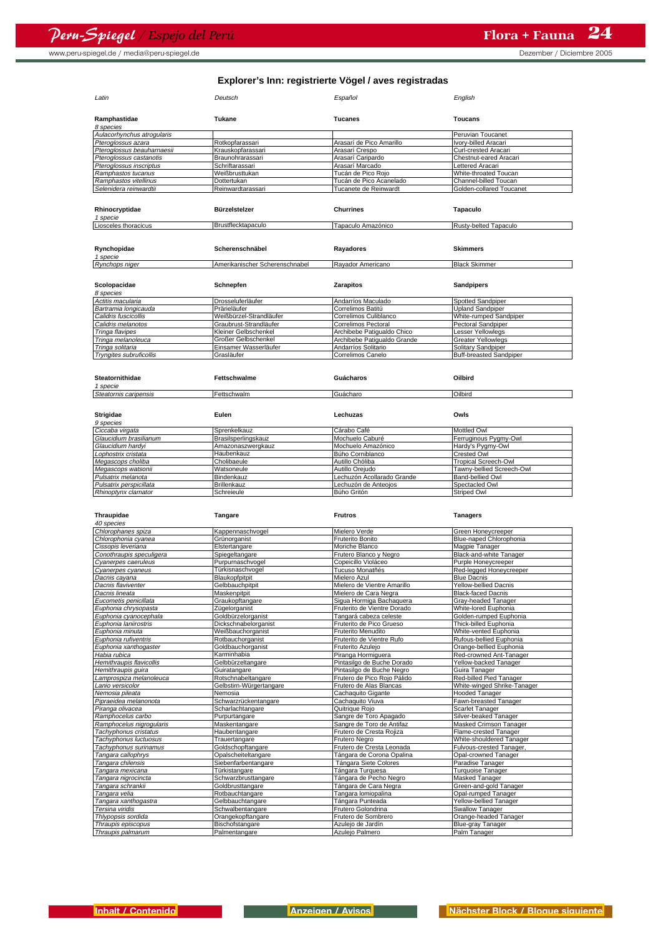| Latin                      | Deutsch                        | Español                  | English                  |
|----------------------------|--------------------------------|--------------------------|--------------------------|
| Ramphastidae               | Tukane                         | <b>Tucanes</b>           | <b>Toucans</b>           |
| 8 species                  |                                |                          |                          |
| Aulacorhynchus atroqularis |                                |                          | Peruvian Toucanet        |
| Pteroglossus azara         | Rotkopfarassari                | Arasarí de Pico Amarillo | Ivory-billed Aracari     |
| Pteroglossus beauharnaesii | Krauskopfarassari              | Arasarí Crespo           | Curl-crested Aracari     |
| Pteroglossus castanotis    | Braunohrarassari               | Arasarí Caripardo        | Chestnut-eared Aracari   |
| Pteroglossus inscriptus    | Schriftarassari                | Arasarí Marcado          | Lettered Aracari         |
| Ramphastos tucanus         | Weißbrusttukan                 | Tucán de Pico Roio       | White-throated Toucan    |
| Ramphastos vitellinus      | Dottertukan                    | Tucán de Pico Acanelado  | Channel-billed Toucan    |
| Selenidera reinwardtii     | Reinwardtarassari              | Tucanete de Reinwardt    | Golden-collared Toucanet |
|                            |                                |                          |                          |
| Rhinocryptidae             | Bürzelstelzer                  | <b>Churrines</b>         | <b>Tapaculo</b>          |
| 1 specie                   |                                |                          |                          |
| Liosceles thoracicus       | Brustflecktapaculo             | Tapaculo Amazónico       | Rusty-belted Tapaculo    |
|                            |                                |                          |                          |
| Rynchopidae                | Scherenschnäbel                | Rayadores                | <b>Skimmers</b>          |
| 1 specie                   |                                |                          |                          |
| Rynchops niger             | Amerikanischer Scherenschnabel | Rayador Americano        | <b>Black Skimmer</b>     |
|                            |                                |                          |                          |

| Scolopacidae                   | Schnepfen               | <b>Zarapitos</b>            | <b>Sandpipers</b>              |
|--------------------------------|-------------------------|-----------------------------|--------------------------------|
| 8 species                      |                         |                             |                                |
| Actitis macularia              | Drosseluferläufer       | Andarríos Maculado          | Spotted Sandpiper              |
| Bartramia longicauda           | Prärieläufer            | Correlimos Batitú           | Upland Sandpiper               |
| Calidris fuscicollis           | Weißbürzel-Strandläufer | Correlimos Culiblanco       | White-rumped Sandpiper         |
| Calidris melanotos             | Graubrust-Strandläufer  | Correlimos Pectoral         | Pectoral Sandpiper             |
| Tringa flavipes                | Kleiner Gelbschenkel    | Archibebe Patigualdo Chico  | Lesser Yellowlegs              |
| Tringa melanoleuca             | Großer Gelbschenkel     | Archibebe Patigualdo Grande | <b>Greater Yellowlegs</b>      |
| Tringa solitaria               | Einsamer Wasserläufer   | Andarríos Solitario         | <b>Solitary Sandpiper</b>      |
| <b>Tryngites subruficollis</b> | Grasläufer              | Correlimos Canelo           | <b>Buff-breasted Sandpiper</b> |

| Steatornithidae<br>1 specie | Fettschwalme        | Guácharos                  | Oilbird                     |
|-----------------------------|---------------------|----------------------------|-----------------------------|
| Steatornis caripensis       | Fettschwalm         | Guácharo                   | Oilbird                     |
| Strigidae                   | Eulen               | Lechuzas                   | Owls                        |
| 9 species                   |                     |                            |                             |
| Ciccaba virgata             | Sprenkelkauz        | Cárabo Café                | <b>Mottled Owl</b>          |
| Glaucidium brasilianum      | Brasilsperlingskauz | Mochuelo Caburé            | Ferruginous Pygmy-Owl       |
| Glaucidium hardvi           | Amazonaszwergkauz   | Mochuelo Amazónico         | Hardy's Pygmy-Owl           |
| Lophostrix cristata         | Haubenkauz          | Búho Corniblanco           | <b>Crested Owl</b>          |
| Megascops choliba           | Cholibaeule         | Autillo Chóliba            | <b>Tropical Screech-Owl</b> |
| Megascops watsonii          | Watsoneule          | Autillo Oreiudo            | Tawny-bellied Screech-Owl   |
| Pulsatrix melanota          | Bindenkauz          | Lechuzón Acollarado Grande | Band-bellied Owl            |
| Pulsatrix perspicillata     | <b>Brillenkauz</b>  | Lechuzón de Anteojos       | Spectacled Owl              |
| Rhinoptvnx clamator         | Schreieule          | Búho Gritón                | <b>Striped Owl</b>          |

| Thraupidae               | Tangare                 | <b>Frutros</b>              | <b>Tanagers</b>              |
|--------------------------|-------------------------|-----------------------------|------------------------------|
| 40 species               |                         |                             |                              |
| Chlorophanes spiza       | Kappennaschvogel        | Mielero Verde               | Green Honeycreeper           |
| Chlorophonia cyanea      | Grünorganist            | Fruterito Bonito            | Blue-naped Chlorophonia      |
| Cissopis leveriana       | Elstertangare           | Moriche Blanco              | Magpie Tanager               |
| Conothraupis speculigera | Spiegeltangare          | Frutero Blanco y Negro      | Black-and-white Tanager      |
| Cvanerpes caeruleus      | Purpurnaschvogel        | Copeicillo Violáceo         | Purple Honevcreeper          |
| Cyanerpes cyaneus        | Türkisnaschvogel        | Tucuso Monatñés             | Red-legged Honeycreeper      |
| Dacnis cayana            | Blaukopfpitpit          | Mielero Azul                | <b>Blue Dacnis</b>           |
| Dacnis flaviventer       | Gelbbauchpitpit         | Mielero de Vientre Amarillo | <b>Yellow-bellied Dacnis</b> |
| Dacnis lineata           | Maskenpitpit            | Mielero de Cara Negra       | <b>Black-faced Dacnis</b>    |
| Eucometis penicillata    | Graukopftangare         | Sigua Hormiga Bachaquera    | Gray-headed Tanager          |
| Euphonia chrysopasta     | Zügelorganist           | Fruterito de Vientre Dorado | White-lored Euphonia         |
| Euphonia cyanocephala    | Goldbürzelorganist      | Tangará cabeza celeste      | Golden-rumped Euphonia       |
| Euphonia laniirostris    | Dickschnabelorganist    | Fruterito de Pico Grueso    | Thick-billed Euphonia        |
| Euphonia minuta          | Weißbauchorganist       | Fruterito Menudito          | White-vented Euphonia        |
| Euphonia rufiventris     | Rotbauchorganist        | Fruterito de Vientre Rufo   | Rufous-bellied Euphonia      |
| Euphonia xanthogaster    | Goldbauchorganist       | Fruterito Azuleio           | Orange-bellied Euphonia      |
| Habia rubica             | Karminhabia             | Piranga Hormiguera          | Red-crowned Ant-Tanager      |
| Hemithraupis flavicollis | Gelbbürzeltangare       | Pintasilgo de Buche Dorado  | Yellow-backed Tanager        |
| Hemithraupis quira       | Guiratangare            | Pintasilgo de Buche Negro   | Guira Tanager                |
| Lamprospiza melanoleuca  | Rotschnabeltangare      | Frutero de Pico Roio Pálido | Red-billed Pied Tanager      |
| Lanio versicolor         | Gelbstirn-Würgertangare | Frutero de Alas Blancas     | White-winged Shrike-Tanager  |
| Nemosia pileata          | Nemosia                 | Cachaquito Gigante          | <b>Hooded Tanager</b>        |
| Pipraeidea melanonota    | Schwarzrückentangare    | Cachaquito Viuva            | Fawn-breasted Tanager        |
| Piranga olivacea         | Scharlachtangare        | Quitrique Rojo              | Scarlet Tanager              |
| Ramphocelus carbo        | Purpurtangare           | Sangre de Toro Apagado      | Silver-beaked Tanager        |
| Ramphocelus nigrogularis | Maskentangare           | Sangre de Toro de Antifaz   | Masked Crimson Tanager       |
| Tachyphonus cristatus    | Haubentangare           | Frutero de Cresta Roiiza    | Flame-crested Tanager        |
| Tachyphonus luctuosus    | Trauertangare           | <b>Frutero Nearo</b>        | White-shouldered Tanager     |
| Tachyphonus surinamus    | Goldschopftangare       | Frutero de Cresta Leonada   | Fulvous-crested Tanager,     |
| Tangara callophrys       | Opalscheiteltangare     | Tángara de Corona Opalina   | Opal-crowned Tanager         |
| Tangara chilensis        | Siebenfarbentangare     | Tángara Siete Colores       | Paradise Tanager             |
| Tangara mexicana         | Türkistangare           | Tángara Turquesa            | <b>Turquoise Tanager</b>     |
| Tangara nigrocincta      | Schwarzbrusttangare     | Tángara de Pecho Negro      | Masked Tanager               |
| Tangara schrankii        | Goldbrusttangare        | Tángara de Cara Negra       | Green-and-gold Tanager       |
| Tangara velia            | Rotbauchtangare         | Tangara lomiopalina         | Opal-rumped Tanager          |
| Tangara xanthogastra     | Gelbbauchtangare        | Tángara Punteada            | Yellow-bellied Tanager       |
| Tersina viridis          | Schwalbentangare        | Frutero Golondrina          | <b>Swallow Tanager</b>       |
| Thlypopsis sordida       | Orangekopftangare       | Frutero de Sombrero         | Orange-headed Tanager        |
| Thraupis episcopus       | Bischofstangare         | Azuleio de Jardín           | Blue-gray Tanager            |
| Thraupis palmarum        | Palmentangare           | Azulejo Palmero             | Palm Tanager                 |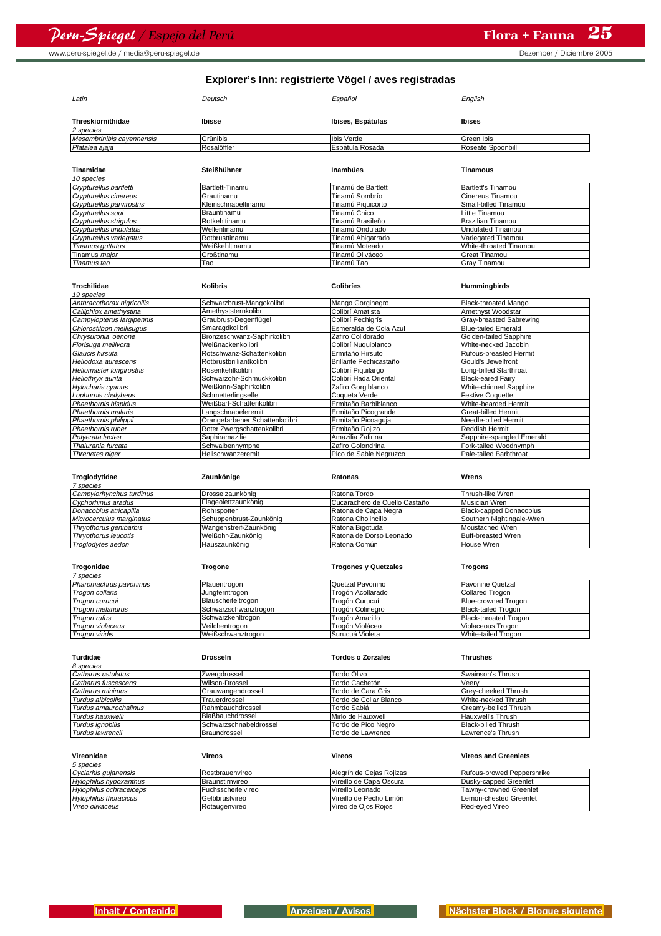www.peru-spiegel.de / media@peru-spiegel.de by the control of the Dezember of Diciembre 2005

| Latin                          | Deutsch             | Español            | English                   |
|--------------------------------|---------------------|--------------------|---------------------------|
| Threskiornithidae<br>2 species | Ibisse              | Ibises, Espátulas  | <b>Ibises</b>             |
| Mesembrinibis cayennensis      | Grünibis            | Ibis Verde         | Green Ibis                |
| Platalea ajaja                 | Rosalöffler         | Espátula Rosada    | Roseate Spoonbill         |
|                                |                     |                    |                           |
| Tinamidae                      | Steißhühner         | Inambúes           | Tinamous                  |
| 10 species                     |                     |                    |                           |
| Crypturellus bartletti         | Bartlett-Tinamu     | Tinamú de Bartlett | <b>Bartlett's Tinamou</b> |
| Crypturellus cinereus          | Grautinamu          | Tinamú Sombrío     | Cinereus Tinamou          |
| Crypturellus parvirostris      | Kleinschnabeltinamu | Tinamú Piguicorto  | Small-billed Tinamou      |
| Crypturellus soui              | Brauntinamu         | Tinamú Chico       | Little Tinamou            |
| Crypturellus strigulos         | Rotkehltinamu       | Tinamú Brasileño   | Brazilian Tinamou         |
| Crypturellus undulatus         | Wellentinamu        | Tinamú Ondulado    | <b>Undulated Tinamou</b>  |
| Crypturellus variegatus        | Rotbrusttinamu      | Tinamú Abigarrado  | Variegated Tinamou        |
| Tinamus guttatus               | Weißkehltinamu      | Tinamú Moteado     | White-throated Tinamou    |
| Tinamus major                  | Großtinamu          | Tinamú Oliváceo    | <b>Great Tinamou</b>      |
| Tinamus tao                    | Tao                 | Tinamú Tao         | <b>Gray Tinamou</b>       |

| Trochilidae                | <b>Kolibris</b>                | Colibríes              | <b>Hummingbirds</b>         |
|----------------------------|--------------------------------|------------------------|-----------------------------|
| 19 species                 |                                |                        |                             |
| Anthracothorax nigricollis | Schwarzbrust-Mangokolibri      | Mango Gorginegro       | <b>Black-throated Mango</b> |
| Calliphlox amethystina     | Amethyststernkolibri           | Colibrí Amatista       | Amethyst Woodstar           |
| Campylopterus largipennis  | Graubrust-Degenflügel          | Colibrí Pechiarís      | Gray-breasted Sabrewing     |
| Chlorostilbon mellisuaus   | Smaraqdkolibri                 | Esmeralda de Cola Azul | <b>Blue-tailed Emerald</b>  |
| Chrysuronia oenone         | Bronzeschwanz-Saphirkolibri    | Zafiro Colidorado      | Golden-tailed Sapphire      |
| Florisuga mellivora        | Weißnackenkolibri              | Colibrí Nuquiblanco    | White-necked Jacobin        |
| Glaucis hirsuta            | Rotschwanz-Schattenkolibri     | Ermitaño Hirsuto       | Rufous-breasted Hermit      |
| Heliodoxa aurescens        | Rotbrustbrilliantkolibri       | Brillante Pechicastaño | Gould's Jewelfront          |
| Heliomaster longirostris   | Rosenkehlkolibri               | Colibrí Piquilargo     | Long-billed Starthroat      |
| Heliothryx aurita          | Schwarzohr-Schmuckkolibri      | Colibrí Hada Oriental  | <b>Black-eared Fairv</b>    |
| Hylocharis cyanus          | Weißkinn-Saphirkolibri         | Zafiro Gorgiblanco     | White-chinned Sapphire      |
| Lophornis chalybeus        | Schmetterlingselfe             | Coqueta Verde          | <b>Festive Coquette</b>     |
| Phaethornis hispidus       | Weißbart-Schattenkolibri       | Ermitaño Barbiblanco   | White-bearded Hermit        |
| Phaethornis malaris        | Langschnabeleremit             | Ermitaño Picogrande    | Great-billed Hermit         |
| Phaethornis philippii      | Orangefarbener Schattenkolibri | Ermitaño Picoaquia     | Needle-billed Hermit        |
| Phaethornis ruber          | Roter Zwergschattenkolibri     | Ermitaño Rojizo        | <b>Reddish Hermit</b>       |
| Polyerata lactea           | Saphiramazilie                 | Amazilia Zafirina      | Sapphire-spangled Emerald   |
| Thalurania furcata         | Schwalbennymphe                | Zafiro Golondrina      | Fork-tailed Woodnymph       |
| Threnetes niger            | Hellschwanzeremit              | Pico de Sable Negruzco | Pale-tailed Barbthroat      |

| Troglodytidae            | Zaunkönige              | Ratonas                       | Wrens                          |
|--------------------------|-------------------------|-------------------------------|--------------------------------|
| 7 species                |                         |                               |                                |
| Campylorhynchus turdinus | Drosselzaunkönig        | Ratona Tordo                  | Thrush-like Wren               |
| Cyphorhinus aradus       | Flageolettzaunkönig     | Cucarachero de Cuello Castaño | Musician Wren                  |
| Donacobius atricapilla   | Rohrspotter             | Ratona de Capa Negra          | <b>Black-capped Donacobius</b> |
| Microcerculus marginatus | Schuppenbrust-Zaunkönig | Ratona Cholincillo            | Southern Nightingale-Wren      |
| Thryothorus genibarbis   | Wangenstreif-Zaunkönig  | Ratona Bigotuda               | Moustached Wren                |
| Thrvothorus leucotis     | Weißohr-Zaunkönig       | Ratona de Dorso Leonado       | <b>Buff-breasted Wren</b>      |
| Troglodytes aedon        | Hauszaunkönig           | Ratona Común                  | House Wren                     |

| Trogonidae             | Trogone              | <b>Trogones y Quetzales</b> | Trogons                      |
|------------------------|----------------------|-----------------------------|------------------------------|
| 7 species              |                      |                             |                              |
| Pharomachrus pavoninus | Pfauentrogon         | Quetzal Pavonino            | Pavonine Quetzal             |
| Trogon collaris        | Jungferntrogon       | Trogón Acollarado           | <b>Collared Trogon</b>       |
| Trogon curucui         | Blauscheiteltrogon   | Trogón Curucuí              | <b>Blue-crowned Trogon</b>   |
| Trogon melanurus       | Schwarzschwanztrogon | Trogón Colinegro            | <b>Black-tailed Trogon</b>   |
| Trogon rufus           | Schwarzkehltrogon    | Trogón Amarillo             | <b>Black-throated Trogon</b> |
| Trogon violaceus       | Veilchentrogon       | Trogón Violáceo             | Violaceous Trogon            |
| Trogon viridis         | Weißschwanztrogon    | Surucuá Violeta             | White-tailed Trogon          |

| Turdidae              | <b>Drosseln</b>        | <b>Tordos o Zorzales</b> | Thrushes                   |
|-----------------------|------------------------|--------------------------|----------------------------|
| 8 species             |                        |                          |                            |
| Catharus ustulatus    | Zwergdrossel           | Tordo Olivo              | Swainson's Thrush          |
| Catharus fuscescens   | Wilson-Drossel         | Tordo Cachetón           | Veerv                      |
| Catharus minimus      | Grauwangendrossel      | Tordo de Cara Gris       | Grey-cheeked Thrush        |
| Turdus albicollis     | Trauerdrossel          | Tordo de Collar Blanco   | White-necked Thrush        |
| Turdus amaurochalinus | Rahmbauchdrossel       | Tordo Sabiá              | Creamy-bellied Thrush      |
| Turdus hauxwelli      | Blaßbauchdrossel       | Mirlo de Hauxwell        | Hauxwell's Thrush          |
| Turdus ignobilis      | Schwarzschnabeldrossel | Tordo de Pico Nearo      | <b>Black-billed Thrush</b> |
| Turdus lawrencii      | Braundrossel           | Tordo de Lawrence        | Lawrence's Thrush          |

| Vireonidae                   | Vireos             | Vireos                   | <b>Vireos and Greenlets</b> |
|------------------------------|--------------------|--------------------------|-----------------------------|
| 5 species                    |                    |                          |                             |
| Cyclarhis gujanensis         | Rostbrauenvireo    | Alegrín de Ceias Roiizas | Rufous-browed Peppershrike  |
| Hylophilus hypoxanthus       | Braunstirnvireo    | Vireillo de Capa Oscura  | Dusky-capped Greenlet       |
| Hylophilus ochraceiceps      | Fuchsscheitelvireo | Vireillo Leonado         | Tawny-crowned Greenlet      |
| <b>Hylophilus thoracicus</b> | Gelbbrustvireo     | Vireillo de Pecho Limón  | Lemon-chested Greenlet      |
| Vireo olivaceus              | Rotaugenvireo      | Vireo de Oios Roios      | Red-eved Vireo              |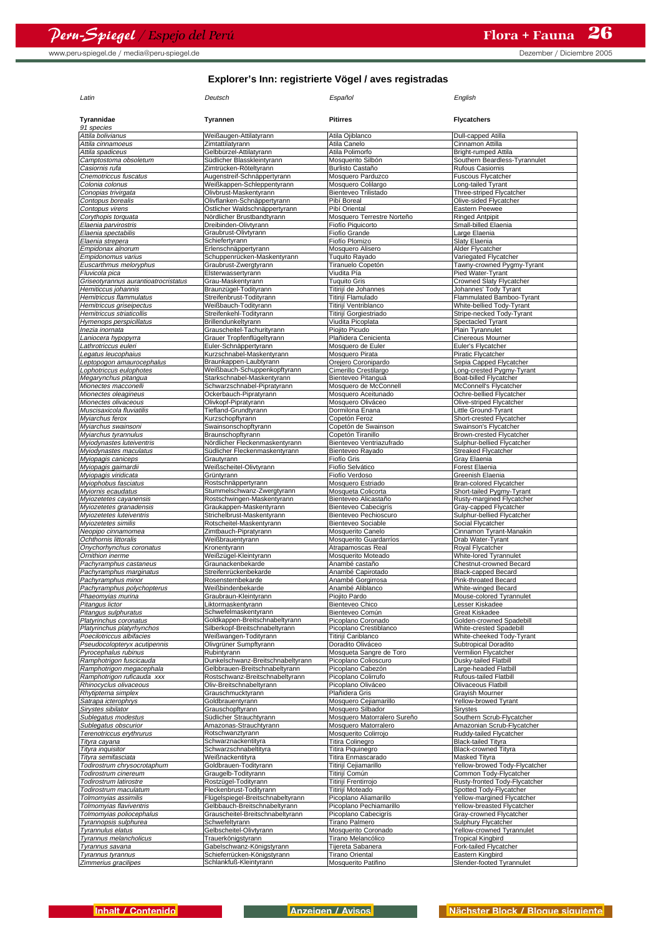www.peru-spiegel.de / media@peru-spiegel.de but a but a but a but a but a but a but a but a but a but a but a but a but a but a but a but a but a but a but a but a but a but a but a but a but a but a but a but a but a but

| Latin                                                | Deutsch                                                          | Español                                      | English                                               |
|------------------------------------------------------|------------------------------------------------------------------|----------------------------------------------|-------------------------------------------------------|
| Tyrannidae<br>91 species                             | Tyrannen                                                         | <b>Pitirres</b>                              | <b>Flycatchers</b>                                    |
| Attila bolivianus                                    | Weißaugen-Attilatyrann                                           | Atila Ojiblanco                              | Dull-capped Atilla                                    |
| Attila cinnamoeus                                    | Zimtattilatyrann                                                 | Atila Canelo                                 | Cinnamon Attilla                                      |
| Attila spadiceus                                     | Gelbbürzel-Attilatvrann                                          | Atila Polimorfo                              | Bright-rumped Attila                                  |
| Camptostoma obsoletum                                | Südlicher Blasskleintyrann                                       | Mosquerito Silbón                            | Southern Beardless-Tyrannulet                         |
| Casiornis rufa<br>Cnemotriccus fuscatus              | Zimtrücken-Röteltyrann<br>Augenstreif-Schnäppertyrann            | <b>Burlisto Castaño</b><br>Mosquero Parduzco | <b>Rufous Casiornis</b><br><b>Fuscous Flycatcher</b>  |
| Colonia colonus                                      | Weißkappen-Schleppentyrann                                       | Mosquero Colilargo                           | Long-tailed Tyrant                                    |
| Conopias trivirgata                                  | Olivbrust-Maskentyrann                                           | Bienteveo Trilistado                         | Three-striped Flycatcher                              |
| Contopus borealis                                    | Olivflanken-Schnäppertyrann                                      | Pibí Boreal                                  | Olive-sided Flycatcher                                |
| Contopus virens                                      | Östlicher Waldschnäppertyrann                                    | Pibí Oriental                                | Eastern Peewee                                        |
| Corythopis torquata                                  | Nördlicher Brustbandtyrann                                       | Mosquero Terrestre Norteño                   | <b>Ringed Antpipit</b>                                |
| Elaenia parvirostris                                 | Dreibinden-Olivtyrann                                            | Fiofío Piquicorto                            | Small-billed Elaenia                                  |
| Elaenia spectabilis                                  | Graubrust-Olivtyrann                                             | Fiofío Grande                                | Large Elaenia                                         |
| Elaenia strepera                                     | Schiefertyrann                                                   | Fiofío Plomizo<br>Mosquero Alisero           | Slaty Elaenia                                         |
| Empidonax alnorum<br>Empidonomus varius              | Erlenschnäppertyrann<br>Schuppenrücken-Maskentyrann              | Tuquito Rayado                               | Alder Flycatcher<br>Variegated Flycatcher             |
| Euscarthmus meloryphus                               | Graubrust-Zwergtyrann                                            | Tiranuelo Copetón                            | Tawny-crowned Pygmy-Tyrant                            |
| Fluvicola pica                                       | Elsterwassertyrann                                               | Viudita Pía                                  | Pied Water-Tyrant                                     |
| Griseotyrannus aurantioatrocristatus                 | Grau-Maskentyrann                                                | <b>Tuquito Gris</b>                          | Crowned Slaty Flycatcher                              |
| Hemiticcus johannis                                  | Braunzügel-Todityrann                                            | Titirijí de Johannes                         | Johannes' Tody Tyrant                                 |
| Hemitriccus flammulatus                              | Streifenbrust-Todityrann                                         | Titirijí Flamulado                           | Flammulated Bamboo-Tyrant                             |
| Hemitriccus griseipectus                             | Weißbauch-Todityrann                                             | Titirijí Ventriblanco                        | White-bellied Tody-Tyrant                             |
| Hemitriccus striaticollis                            | Streifenkehl-Todityrann                                          | Titirijí Gorgiestriado                       | Stripe-necked Tody-Tyrant                             |
| Hymenops perspicillatus                              | Brillendunkeltyrann                                              | Viudita Picoplata                            | Spectacled Tyrant                                     |
| Inezia inornata<br>Laniocera hypopyrra               | Grauscheitel-Tachurityrann<br>Grauer Tropfenflügeltyrann         | Piojito Picudo<br>Plañidera Cenicienta       | Plain Tyrannulet<br>Cinereous Mourner                 |
| Lathrotriccus euleri                                 | Euler-Schnäppertyrann                                            | Mosquero de Euler                            | Euler's Flycatcher                                    |
| Legatus leucophaius                                  | Kurzschnabel-Maskentyrann                                        | Mosquero Pirata                              | Piratic Flycatcher                                    |
| Leptopogon amaurocephalus                            | Braunkappen-Laubtyrann                                           | Orejero Coronipardo                          | Sepia Capped Flycatcher                               |
| Lophotriccus eulophotes                              | Weißbauch-Schuppenkopftyrann                                     | Cimerillo Crestilargo                        | Long-crested Pygmy-Tyrant                             |
| Megarynchus pitangua                                 | Starkschnabel-Maskentyrann                                       | Bienteveo Pitanguá                           | Boat-billed Flycatcher                                |
| Mionectes macconelli                                 | Schwarzschnabel-Pipratyrann                                      | Mosquero de McConnell                        | McConnell's Flycatcher                                |
| Mionectes oleagineus                                 | Ockerbauch-Pipratyrann                                           | Mosquero Aceitunado                          | Ochre-bellied Flycatcher                              |
| Mionectes olivaceous<br>Muscisaxicola fluviatilis    | Olivkopf-Pipratyrann<br>Tiefland-Grundtyrann                     | Mosquero Oliváceo<br>Dormilona Enana         | Olive-striped Flycatcher<br>Little Ground-Tyrant      |
| Myiarchus ferox                                      | Kurzschopftyrann                                                 | Copetón Feroz                                | Short-crested Flycatcher                              |
| Myiarchus swainsoni                                  | Swainsonschopftyrann                                             | Copetón de Swainson                          | Swainson's Flycatcher                                 |
| Myiarchus tyrannulus                                 | Braunschopftyrann                                                | Copetón Tiranillo                            | Brown-crested Flycatcher                              |
| Myiodynastes luteiventris                            | Nördlicher Fleckenmaskentyrann                                   | Bienteveo Ventriazufrado                     | Sulphur-bellied Flycatcher                            |
| Myiodynastes maculatus                               | Südlicher Fleckenmaskentyrann                                    | Bienteveo Rayado                             | Streaked Flycatcher                                   |
| Myiopagis caniceps                                   | Grautyrann                                                       | Fiofío Gris                                  | Gray Elaenia                                          |
| Myiopagis gaimardii                                  | Weißscheitel-Olivtyrann                                          | Fiofío Selvático                             | Forest Elaenia                                        |
| Myiopagis viridicata<br>Myiophobus fasciatus         | Grüntyrann<br>Rostschnäppertyrann                                | Fiofío Verdoso<br>Mosquero Estriado          | Greenish Elaenia<br>Bran-colored Flycatcher           |
| Myiornis ecaudatus                                   | Stummelschwanz-Zwergtyrann                                       | Mosqueta Colicorta                           | Short-tailed Pygmy-Tyrant                             |
| Myiozetetes cayanensis                               | Rostschwingen-Maskentyrann                                       | Bienteveo Alicastaño                         | Rusty-margined Flycatcher                             |
| Myiozetetes granadensis                              | Graukappen-Maskentyrann                                          | Bienteveo Cabecigrís                         | Gray-capped Flycatcher                                |
| Myiozetetes luteiventris                             | Strichelbrust-Maskentyrann                                       | Bienteveo Pechioscuro                        | Sulphur-bellied Flycatcher                            |
| Myiozetetes similis                                  | Rotscheitel-Maskentyrann                                         | <b>Bienteveo Sociable</b>                    | Social Flycatcher                                     |
| Neopipo cinnamomea                                   | Zimtbauch-Pipratyrann                                            | Mosquerito Canelo                            | Cinnamon Tyrant-Manakin                               |
| Ochthornis littoralis<br>Onychorhynchus coronatus    | Weißbrauentyrann<br>Kronentyrann                                 | Mosquerito Guardarríos<br>Atrapamoscas Real  | Drab Water-Tyrant<br>Royal Flycatcher                 |
| Ornithion inerme                                     | Weißzügel-Kleintyrann                                            | Mosquerito Moteado                           | White-lored Tyrannulet                                |
| Pachyramphus castaneus                               | Graunackenbekarde                                                | Anambé castaño                               | Chestnut-crowned Becard                               |
| Pachyramphus marginatus                              | Streifenrückenbekarde                                            | Anambé Capirotado                            | <b>Black-capped Becard</b>                            |
| Pachyramphus minor                                   | Rosensternbekarde                                                | Anambé Gorgirrosa                            | Pink-throated Becard                                  |
| Pachyramphus polychopterus                           | Weißbindenbekarde                                                | Anambé Aliblanco                             | White-winged Becard                                   |
| Phaeomyias murina                                    | raubraun-Kleintyrannس                                            | Piojito Pardo                                | Mouse-colored Tyrannulet                              |
| Pitangus lictor                                      | Liktormaskentyrann                                               | <b>Bienteveo Chico</b>                       | Lesser Kiskadee                                       |
| Pitangus sulphuratus                                 | Schwefelmaskentyrann                                             | Bienteveo Común<br>Picoplano Coronado        | Great Kiskadee<br>Golden-crowned Spadebill            |
| Platyrinchus coronatus<br>Platyrinchus platyrhynchos | Goldkappen-Breitschnabeltyrann<br>Silberkopf-Breitschnabeltvrann | Picoplano Crestiblanco                       | White-crested Spadebill                               |
| Poecilotriccus albifacies                            | Weißwangen-Todityrann                                            | Titirijí Cariblanco                          | White-cheeked Tody-Tyrant                             |
| Pseudocolopteryx acutipennis                         | Olivgrüner Sumpftyrann                                           | Doradito Oliváceo                            | <b>Subtropical Doradito</b>                           |
| Pyrocephalus rubinus                                 | Rubintyrann                                                      | Mosqueta Sangre de Toro                      | Vermilion Flycatcher                                  |
| Ramphotrigon fuscicauda                              | Dunkelschwanz-Breitschnabeltyrann                                | Picoplano Colioscuro                         | Dusky-tailed Flatbill                                 |
| Ramphotrigon megacephala                             | Gelbbrauen-Breitschnabeltyrann                                   | Picoplano Cabezón                            | Large-headed Flatbill                                 |
| Ramphotrigon ruficauda xxx<br>Rhinocyclus olivaceous | Rostschwanz-Breitschnabeltyrann<br>Oliv-Breitschnabeltyrann      | Picoplano Colirrufo<br>Picoplano Oliváceo    | Rufous-tailed Flatbill<br>Olivaceous Flatbill         |
| Rhytipterna simplex                                  | Grauschmucktyrann                                                | Plañidera Gris                               | Grayish Mourner                                       |
| Satrapa icterophrys                                  | Goldbrauentyrann                                                 | Mosquero Cejiamarillo                        | Yellow-browed Tyrant                                  |
| Sirystes sibilator                                   | Grauschopftyrann                                                 | Mosquero Silbador                            | Sirystes                                              |
| Sublegatus modestus                                  | Südlicher Strauchtyrann                                          | Mosquero Matorralero Sureño                  | Southern Scrub-Flycatcher                             |
| Sublegatus obscurior                                 | Amazonas-Strauchtyrann                                           | Mosquero Matorralero                         | Amazonian Scrub-Flycatcher                            |
| Terenotriccus erythrurus                             | Rotschwanztyrann                                                 | Mosquerito Colirrojo                         | Ruddy-tailed Flycatcher                               |
| Tityra cayana                                        | Schwarznackentityra                                              | Titira Colinegro                             | <b>Black-tailed Tityra</b>                            |
| Tityra inquisitor                                    | Schwarzschnabeltityra                                            | Titira Piquinegro                            | <b>Black-crowned Tityra</b>                           |
| Tityra semifasciata<br>Todirostrum chrysocrotaphum   | Weißnackentityra<br>Goldbrauen-Todityrann                        | Titira Enmascarado<br>Titirijí Cejiamarillo  | Masked Tityra<br>Yellow-browed Tody-Flycatcher        |
| Todirostrum cinereum                                 | Graugelb-Todityrann                                              | Titirijí Común                               | Common Tody-Flycatcher                                |
| Todirostrum latirostre                               | Rostzügel-Todityrann                                             | Titirijí Frentirrojo                         | Rusty-fronted Tody-Flycatcher                         |
| Todirostrum maculatum                                | Fleckenbrust-Todityrann                                          | Titirijí Moteado                             | Spotted Tody-Flycatcher                               |
| Tolmomyias assimilis                                 | Flügelspiegel-Breitschnabeltyrann                                | Picoplano Aliamarillo                        | Yellow-margined Flycatcher                            |
| Tolmomyias flaviventris                              | Gelbbauch-Breitschnabeltyrann                                    | Picoplano Pechiamarillo                      | Yellow-breasted Flycatcher                            |
| Tolmomyias poliocephalus                             | Grauscheitel-Breitschnabeltyrann                                 | Picoplano Cabecigrís                         | Gray-crowned Flycatcher                               |
| Tyrannopsis sulphurea                                | Schwefeltyrann                                                   | Tirano Palmero                               | Sulphury Flycatcher                                   |
| Tyrannulus elatus<br>Tyrannus melancholicus          | Gelbscheitel-Olivtyrann<br>Trauerkönigstyrann                    | Mosquerito Coronado<br>Tirano Melancólico    | Yellow-crowned Tyrannulet<br><b>Tropical Kingbird</b> |
| Tyrannus savana                                      | Gabelschwanz-Königstyrann                                        | Tijereta Sabanera                            | Fork-tailed Flycatcher                                |
| Tyrannus tyrannus                                    | Schieferrücken-Königstyrann                                      | <b>Tirano Oriental</b>                       | Eastern Kingbird                                      |
| Zimmerius gracilipes                                 | Schlankfuß-Kleintyrann                                           | Mosquerito Patifino                          | Slender-footed Tyrannulet                             |
|                                                      |                                                                  |                                              |                                                       |